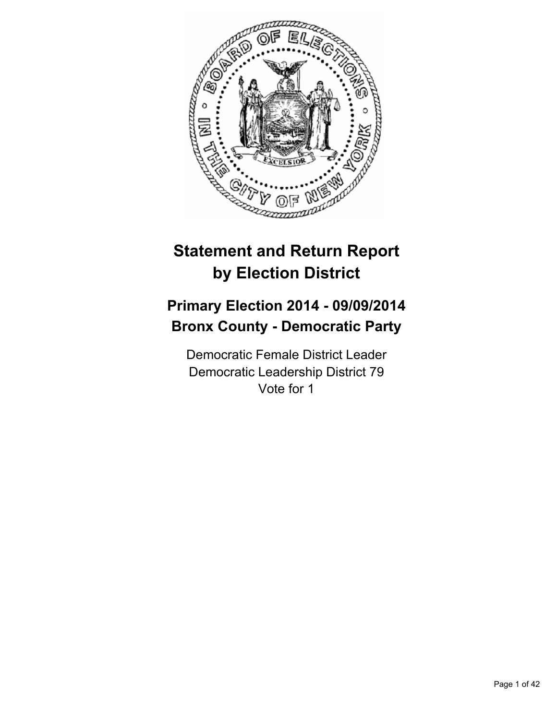

# **Statement and Return Report by Election District**

# **Primary Election 2014 - 09/09/2014 Bronx County - Democratic Party**

Democratic Female District Leader Democratic Leadership District 79 Vote for 1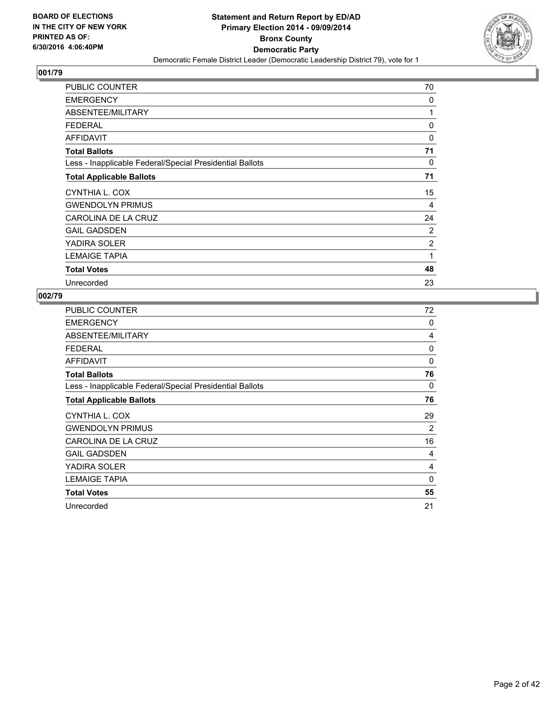

| <b>PUBLIC COUNTER</b>                                    | 70             |
|----------------------------------------------------------|----------------|
| <b>EMERGENCY</b>                                         | 0              |
| ABSENTEE/MILITARY                                        | 1              |
| <b>FEDERAL</b>                                           | 0              |
| <b>AFFIDAVIT</b>                                         | 0              |
| <b>Total Ballots</b>                                     | 71             |
| Less - Inapplicable Federal/Special Presidential Ballots | 0              |
| <b>Total Applicable Ballots</b>                          | 71             |
| CYNTHIA L. COX                                           | 15             |
| <b>GWENDOLYN PRIMUS</b>                                  | 4              |
| CAROLINA DE LA CRUZ                                      | 24             |
| <b>GAIL GADSDEN</b>                                      | 2              |
| YADIRA SOLER                                             | $\overline{2}$ |
| <b>LEMAIGE TAPIA</b>                                     | 1              |
| <b>Total Votes</b>                                       | 48             |
| Unrecorded                                               | 23             |

| PUBLIC COUNTER                                           | 72 |
|----------------------------------------------------------|----|
| <b>EMERGENCY</b>                                         | 0  |
| ABSENTEE/MILITARY                                        | 4  |
| <b>FEDERAL</b>                                           | 0  |
| <b>AFFIDAVIT</b>                                         | 0  |
| <b>Total Ballots</b>                                     | 76 |
| Less - Inapplicable Federal/Special Presidential Ballots | 0  |
| <b>Total Applicable Ballots</b>                          | 76 |
| CYNTHIA L. COX                                           | 29 |
| <b>GWENDOLYN PRIMUS</b>                                  | 2  |
| CAROLINA DE LA CRUZ                                      | 16 |
| <b>GAIL GADSDEN</b>                                      | 4  |
| YADIRA SOLER                                             | 4  |
|                                                          |    |
| <b>LEMAIGE TAPIA</b>                                     | 0  |
| <b>Total Votes</b>                                       | 55 |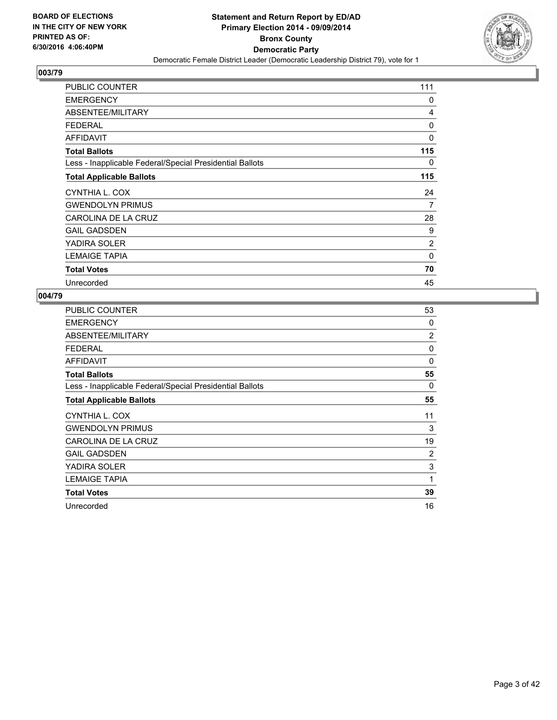

| <b>PUBLIC COUNTER</b>                                    | 111            |
|----------------------------------------------------------|----------------|
| <b>EMERGENCY</b>                                         | 0              |
| ABSENTEE/MILITARY                                        | 4              |
| <b>FEDERAL</b>                                           | 0              |
| <b>AFFIDAVIT</b>                                         | 0              |
| <b>Total Ballots</b>                                     | 115            |
| Less - Inapplicable Federal/Special Presidential Ballots | 0              |
| <b>Total Applicable Ballots</b>                          | 115            |
| CYNTHIA L. COX                                           | 24             |
| <b>GWENDOLYN PRIMUS</b>                                  | 7              |
| CAROLINA DE LA CRUZ                                      | 28             |
| <b>GAIL GADSDEN</b>                                      | 9              |
| YADIRA SOLER                                             | $\overline{2}$ |
| <b>LEMAIGE TAPIA</b>                                     | 0              |
| <b>Total Votes</b>                                       | 70             |
| Unrecorded                                               | 45             |

| <b>PUBLIC COUNTER</b>                                    | 53             |
|----------------------------------------------------------|----------------|
| <b>EMERGENCY</b>                                         | 0              |
| ABSENTEE/MILITARY                                        | $\overline{2}$ |
| <b>FEDERAL</b>                                           | 0              |
| <b>AFFIDAVIT</b>                                         | 0              |
| <b>Total Ballots</b>                                     | 55             |
| Less - Inapplicable Federal/Special Presidential Ballots | 0              |
| <b>Total Applicable Ballots</b>                          | 55             |
| CYNTHIA L. COX                                           | 11             |
| <b>GWENDOLYN PRIMUS</b>                                  | 3              |
| CAROLINA DE LA CRUZ                                      | 19             |
| <b>GAIL GADSDEN</b>                                      | $\overline{2}$ |
| YADIRA SOLER                                             | 3              |
| <b>LEMAIGE TAPIA</b>                                     | 1              |
| <b>Total Votes</b>                                       | 39             |
| Unrecorded                                               | 16             |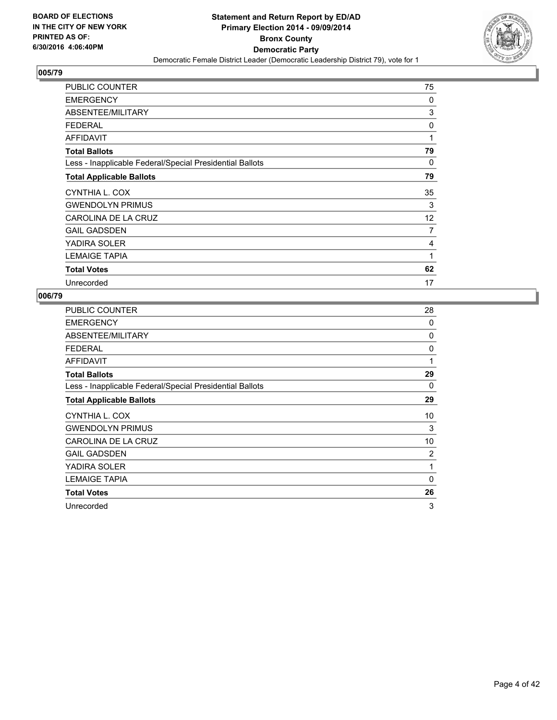

| <b>PUBLIC COUNTER</b>                                    | 75 |
|----------------------------------------------------------|----|
| <b>EMERGENCY</b>                                         | 0  |
| ABSENTEE/MILITARY                                        | 3  |
| <b>FEDERAL</b>                                           | 0  |
| <b>AFFIDAVIT</b>                                         | 1  |
| <b>Total Ballots</b>                                     | 79 |
| Less - Inapplicable Federal/Special Presidential Ballots | 0  |
| <b>Total Applicable Ballots</b>                          | 79 |
| CYNTHIA L. COX                                           | 35 |
| <b>GWENDOLYN PRIMUS</b>                                  | 3  |
| CAROLINA DE LA CRUZ                                      | 12 |
| <b>GAIL GADSDEN</b>                                      | 7  |
| YADIRA SOLER                                             | 4  |
| <b>LEMAIGE TAPIA</b>                                     | 1  |
| <b>Total Votes</b>                                       | 62 |
| Unrecorded                                               | 17 |

| PUBLIC COUNTER                                           | 28       |
|----------------------------------------------------------|----------|
| <b>EMERGENCY</b>                                         | 0        |
| ABSENTEE/MILITARY                                        | 0        |
| <b>FEDERAL</b>                                           | 0        |
| <b>AFFIDAVIT</b>                                         | 1        |
| <b>Total Ballots</b>                                     | 29       |
| Less - Inapplicable Federal/Special Presidential Ballots | 0        |
| <b>Total Applicable Ballots</b>                          | 29       |
| CYNTHIA L. COX                                           | 10       |
| <b>GWENDOLYN PRIMUS</b>                                  | 3        |
| CAROLINA DE LA CRUZ                                      | 10       |
| <b>GAIL GADSDEN</b>                                      | 2        |
| YADIRA SOLER                                             | 1        |
| <b>LEMAIGE TAPIA</b>                                     | $\Omega$ |
| <b>Total Votes</b>                                       | 26       |
|                                                          |          |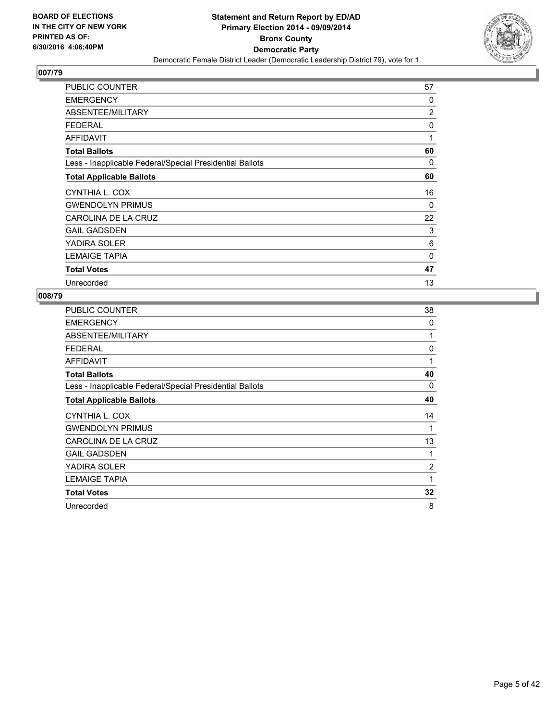

| <b>PUBLIC COUNTER</b>                                    | 57             |
|----------------------------------------------------------|----------------|
| <b>EMERGENCY</b>                                         | 0              |
| ABSENTEE/MILITARY                                        | $\overline{c}$ |
| <b>FEDERAL</b>                                           | 0              |
| <b>AFFIDAVIT</b>                                         | 1              |
| <b>Total Ballots</b>                                     | 60             |
| Less - Inapplicable Federal/Special Presidential Ballots | 0              |
| <b>Total Applicable Ballots</b>                          | 60             |
| CYNTHIA L. COX                                           | 16             |
| <b>GWENDOLYN PRIMUS</b>                                  | 0              |
| CAROLINA DE LA CRUZ                                      | 22             |
| <b>GAIL GADSDEN</b>                                      | 3              |
| YADIRA SOLER                                             | 6              |
| <b>LEMAIGE TAPIA</b>                                     | 0              |
| <b>Total Votes</b>                                       | 47             |
| Unrecorded                                               | 13             |

| PUBLIC COUNTER                                           | 38             |
|----------------------------------------------------------|----------------|
| <b>EMERGENCY</b>                                         | 0              |
| ABSENTEE/MILITARY                                        | 1              |
| <b>FEDERAL</b>                                           | 0              |
| <b>AFFIDAVIT</b>                                         | 1              |
| <b>Total Ballots</b>                                     | 40             |
| Less - Inapplicable Federal/Special Presidential Ballots | 0              |
| <b>Total Applicable Ballots</b>                          | 40             |
| CYNTHIA L. COX                                           | 14             |
| <b>GWENDOLYN PRIMUS</b>                                  | 1              |
| CAROLINA DE LA CRUZ                                      | 13             |
|                                                          |                |
| <b>GAIL GADSDEN</b>                                      | 1              |
| YADIRA SOLER                                             | $\overline{2}$ |
| <b>LEMAIGE TAPIA</b>                                     | $\mathbf{1}$   |
| <b>Total Votes</b>                                       | 32             |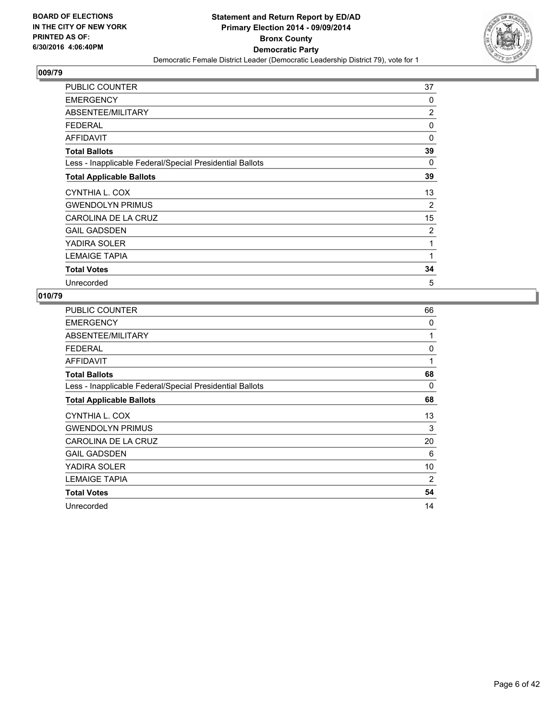

| <b>PUBLIC COUNTER</b>                                    | 37             |
|----------------------------------------------------------|----------------|
| <b>EMERGENCY</b>                                         | 0              |
| ABSENTEE/MILITARY                                        | $\overline{c}$ |
| <b>FEDERAL</b>                                           | 0              |
| <b>AFFIDAVIT</b>                                         | $\Omega$       |
| <b>Total Ballots</b>                                     | 39             |
| Less - Inapplicable Federal/Special Presidential Ballots | 0              |
| <b>Total Applicable Ballots</b>                          | 39             |
| CYNTHIA L. COX                                           | 13             |
| <b>GWENDOLYN PRIMUS</b>                                  | 2              |
| CAROLINA DE LA CRUZ                                      | 15             |
| <b>GAIL GADSDEN</b>                                      | 2              |
| YADIRA SOLER                                             | 1              |
| <b>LEMAIGE TAPIA</b>                                     | 1              |
| <b>Total Votes</b>                                       | 34             |
| Unrecorded                                               | 5              |

| PUBLIC COUNTER                                           | 66 |
|----------------------------------------------------------|----|
| <b>EMERGENCY</b>                                         | 0  |
| ABSENTEE/MILITARY                                        | 1  |
| <b>FEDERAL</b>                                           | 0  |
| <b>AFFIDAVIT</b>                                         | 1  |
| <b>Total Ballots</b>                                     | 68 |
| Less - Inapplicable Federal/Special Presidential Ballots | 0  |
| <b>Total Applicable Ballots</b>                          | 68 |
| CYNTHIA L. COX                                           | 13 |
| <b>GWENDOLYN PRIMUS</b>                                  | 3  |
| CAROLINA DE LA CRUZ                                      | 20 |
| <b>GAIL GADSDEN</b>                                      | 6  |
| YADIRA SOLER                                             | 10 |
| <b>LEMAIGE TAPIA</b>                                     | 2  |
| <b>Total Votes</b>                                       | 54 |
| Unrecorded                                               | 14 |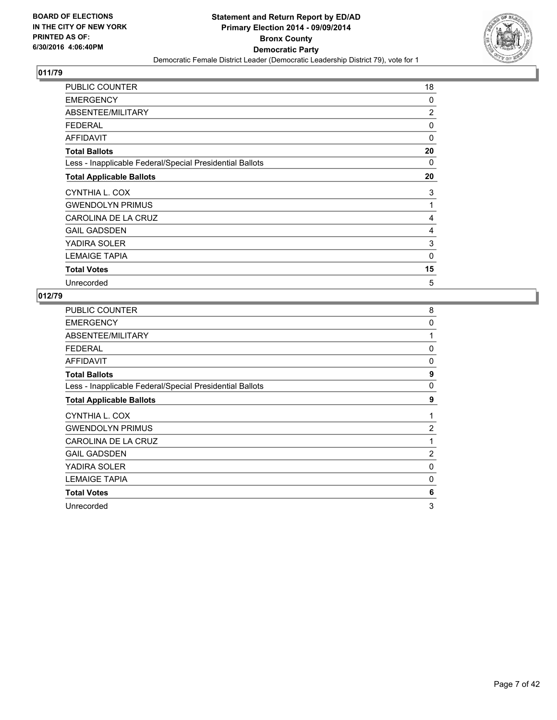

| <b>PUBLIC COUNTER</b>                                    | 18             |
|----------------------------------------------------------|----------------|
| <b>EMERGENCY</b>                                         | 0              |
| ABSENTEE/MILITARY                                        | $\overline{c}$ |
| <b>FEDERAL</b>                                           | 0              |
| <b>AFFIDAVIT</b>                                         | 0              |
| <b>Total Ballots</b>                                     | 20             |
| Less - Inapplicable Federal/Special Presidential Ballots | 0              |
| <b>Total Applicable Ballots</b>                          | 20             |
| CYNTHIA L. COX                                           | 3              |
| <b>GWENDOLYN PRIMUS</b>                                  | $\mathbf{1}$   |
| CAROLINA DE LA CRUZ                                      | 4              |
| <b>GAIL GADSDEN</b>                                      | 4              |
| YADIRA SOLER                                             | 3              |
| <b>LEMAIGE TAPIA</b>                                     | 0              |
| <b>Total Votes</b>                                       | 15             |
| Unrecorded                                               | 5              |

| PUBLIC COUNTER                                           | 8              |
|----------------------------------------------------------|----------------|
| <b>EMERGENCY</b>                                         | 0              |
| ABSENTEE/MILITARY                                        | 1              |
| <b>FEDERAL</b>                                           | 0              |
| <b>AFFIDAVIT</b>                                         | 0              |
| <b>Total Ballots</b>                                     | 9              |
| Less - Inapplicable Federal/Special Presidential Ballots | 0              |
| <b>Total Applicable Ballots</b>                          | 9              |
| CYNTHIA L. COX                                           | 1              |
|                                                          |                |
| <b>GWENDOLYN PRIMUS</b>                                  | $\overline{2}$ |
| CAROLINA DE LA CRUZ                                      | 1              |
| <b>GAIL GADSDEN</b>                                      | 2              |
| YADIRA SOLER                                             | 0              |
| <b>LEMAIGE TAPIA</b>                                     | 0              |
| <b>Total Votes</b>                                       | 6              |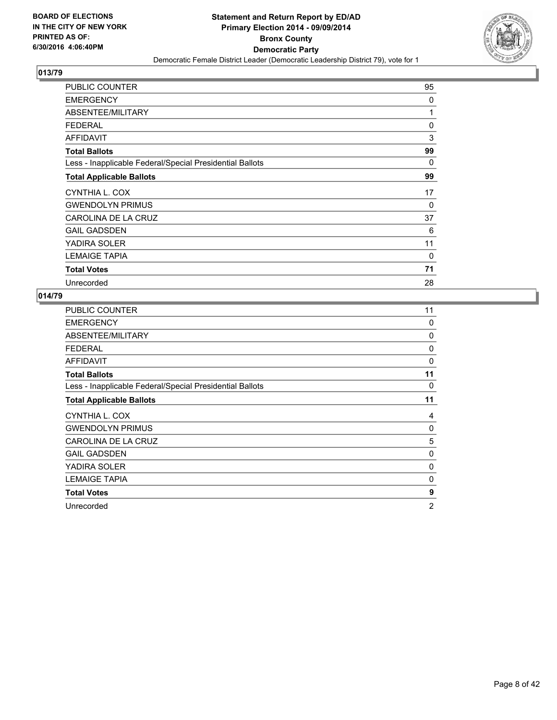

| PUBLIC COUNTER                                           | 95 |
|----------------------------------------------------------|----|
| <b>EMERGENCY</b>                                         | 0  |
| ABSENTEE/MILITARY                                        | 1  |
| <b>FEDERAL</b>                                           | 0  |
| AFFIDAVIT                                                | 3  |
| <b>Total Ballots</b>                                     | 99 |
| Less - Inapplicable Federal/Special Presidential Ballots | 0  |
| <b>Total Applicable Ballots</b>                          | 99 |
| CYNTHIA L. COX                                           | 17 |
| <b>GWENDOLYN PRIMUS</b>                                  | 0  |
| CAROLINA DE LA CRUZ                                      | 37 |
| <b>GAIL GADSDEN</b>                                      | 6  |
| YADIRA SOLER                                             | 11 |
| <b>LEMAIGE TAPIA</b>                                     | 0  |
| <b>Total Votes</b>                                       | 71 |
| Unrecorded                                               | 28 |

| <b>PUBLIC COUNTER</b>                                    | 11 |
|----------------------------------------------------------|----|
| <b>EMERGENCY</b>                                         | 0  |
| ABSENTEE/MILITARY                                        | 0  |
| <b>FEDERAL</b>                                           | 0  |
| <b>AFFIDAVIT</b>                                         | 0  |
| <b>Total Ballots</b>                                     | 11 |
| Less - Inapplicable Federal/Special Presidential Ballots | 0  |
| <b>Total Applicable Ballots</b>                          | 11 |
| CYNTHIA L. COX                                           | 4  |
| <b>GWENDOLYN PRIMUS</b>                                  | 0  |
| CAROLINA DE LA CRUZ                                      | 5  |
|                                                          |    |
| <b>GAIL GADSDEN</b>                                      | 0  |
| YADIRA SOLER                                             | 0  |
| <b>LEMAIGE TAPIA</b>                                     | 0  |
| <b>Total Votes</b>                                       | 9  |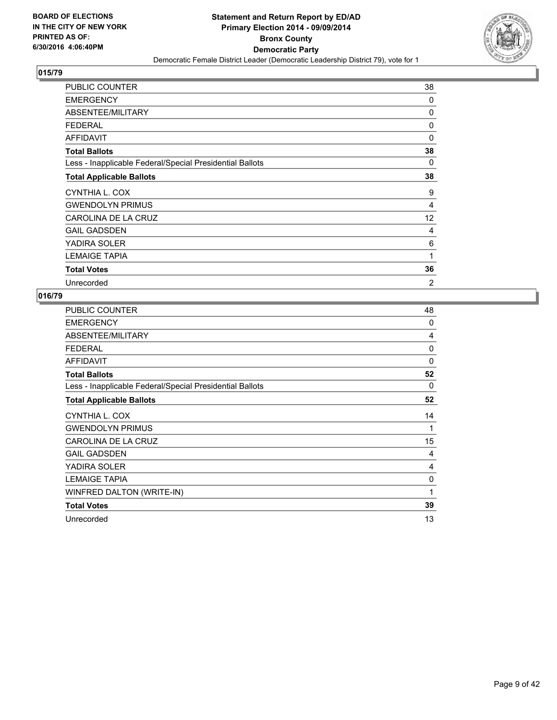

| PUBLIC COUNTER                                           | 38 |
|----------------------------------------------------------|----|
| <b>EMERGENCY</b>                                         | 0  |
| ABSENTEE/MILITARY                                        | 0  |
| <b>FEDERAL</b>                                           | 0  |
| AFFIDAVIT                                                | 0  |
| <b>Total Ballots</b>                                     | 38 |
| Less - Inapplicable Federal/Special Presidential Ballots | 0  |
| <b>Total Applicable Ballots</b>                          | 38 |
| CYNTHIA L. COX                                           | 9  |
| <b>GWENDOLYN PRIMUS</b>                                  | 4  |
| CAROLINA DE LA CRUZ                                      | 12 |
| <b>GAIL GADSDEN</b>                                      | 4  |
| YADIRA SOLER                                             | 6  |
| <b>LEMAIGE TAPIA</b>                                     | 1  |
| <b>Total Votes</b>                                       | 36 |
| Unrecorded                                               | 2  |

| PUBLIC COUNTER                                           | 48       |
|----------------------------------------------------------|----------|
| <b>EMERGENCY</b>                                         | 0        |
| ABSENTEE/MILITARY                                        | 4        |
| <b>FEDERAL</b>                                           | 0        |
| <b>AFFIDAVIT</b>                                         | $\Omega$ |
| <b>Total Ballots</b>                                     | 52       |
| Less - Inapplicable Federal/Special Presidential Ballots | 0        |
| <b>Total Applicable Ballots</b>                          | 52       |
| CYNTHIA L. COX                                           | 14       |
| <b>GWENDOLYN PRIMUS</b>                                  | 1        |
| CAROLINA DE LA CRUZ                                      | 15       |
| <b>GAIL GADSDEN</b>                                      | 4        |
| YADIRA SOLER                                             | 4        |
| <b>LEMAIGE TAPIA</b>                                     | 0        |
| WINFRED DALTON (WRITE-IN)                                | 1        |
| <b>Total Votes</b>                                       | 39       |
| Unrecorded                                               | 13       |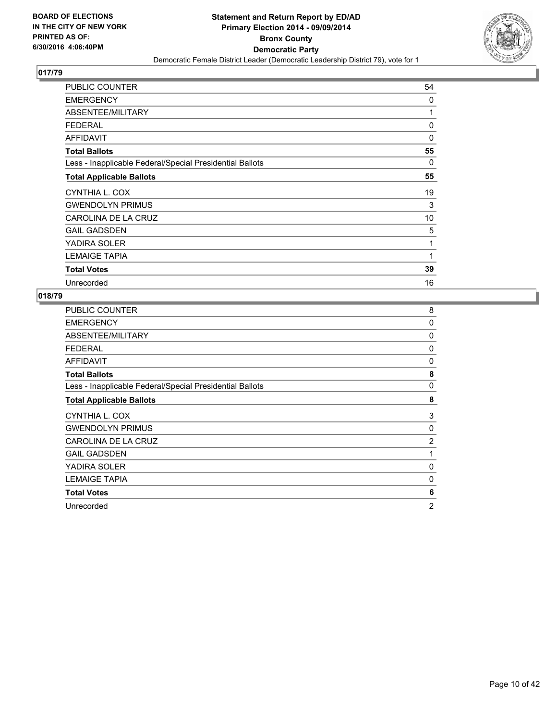

| <b>PUBLIC COUNTER</b>                                    | 54       |
|----------------------------------------------------------|----------|
| <b>EMERGENCY</b>                                         | 0        |
| ABSENTEE/MILITARY                                        | 1        |
| <b>FEDERAL</b>                                           | 0        |
| <b>AFFIDAVIT</b>                                         | $\Omega$ |
| <b>Total Ballots</b>                                     | 55       |
| Less - Inapplicable Federal/Special Presidential Ballots | 0        |
| <b>Total Applicable Ballots</b>                          | 55       |
| CYNTHIA L. COX                                           | 19       |
| <b>GWENDOLYN PRIMUS</b>                                  | 3        |
| CAROLINA DE LA CRUZ                                      | 10       |
| <b>GAIL GADSDEN</b>                                      | 5        |
| YADIRA SOLER                                             | 1        |
| <b>LEMAIGE TAPIA</b>                                     | 1        |
| <b>Total Votes</b>                                       | 39       |
| Unrecorded                                               | 16       |

| PUBLIC COUNTER                                           | 8              |
|----------------------------------------------------------|----------------|
| <b>EMERGENCY</b>                                         | 0              |
| ABSENTEE/MILITARY                                        | 0              |
| <b>FEDERAL</b>                                           | 0              |
| <b>AFFIDAVIT</b>                                         | 0              |
| <b>Total Ballots</b>                                     | 8              |
| Less - Inapplicable Federal/Special Presidential Ballots | 0              |
| <b>Total Applicable Ballots</b>                          | 8              |
| CYNTHIA L. COX                                           | 3              |
| <b>GWENDOLYN PRIMUS</b>                                  | 0              |
| CAROLINA DE LA CRUZ                                      | $\overline{2}$ |
| <b>GAIL GADSDEN</b>                                      | 1              |
| YADIRA SOLER                                             | 0              |
| <b>LEMAIGE TAPIA</b>                                     | 0              |
| <b>Total Votes</b>                                       | 6              |
| Unrecorded                                               | $\overline{2}$ |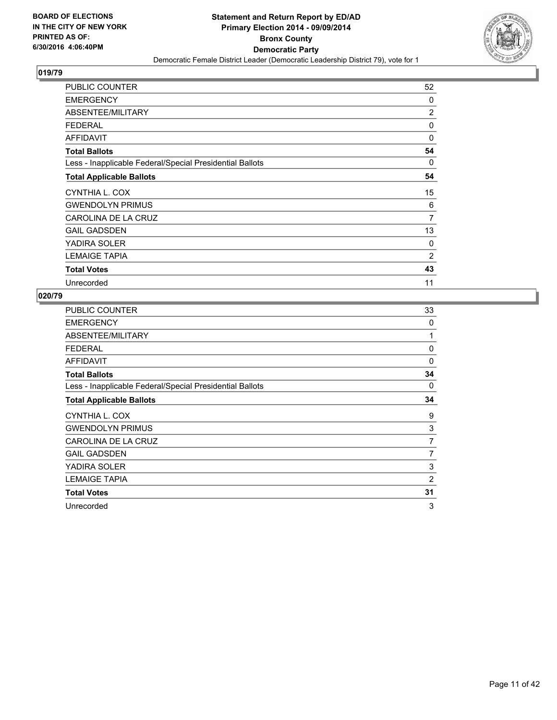

| <b>PUBLIC COUNTER</b>                                    | 52             |
|----------------------------------------------------------|----------------|
| <b>EMERGENCY</b>                                         | 0              |
| ABSENTEE/MILITARY                                        | $\overline{c}$ |
| <b>FEDERAL</b>                                           | 0              |
| <b>AFFIDAVIT</b>                                         | 0              |
| <b>Total Ballots</b>                                     | 54             |
| Less - Inapplicable Federal/Special Presidential Ballots | 0              |
| <b>Total Applicable Ballots</b>                          | 54             |
| CYNTHIA L. COX                                           | 15             |
| <b>GWENDOLYN PRIMUS</b>                                  | 6              |
| CAROLINA DE LA CRUZ                                      | $\overline{7}$ |
| <b>GAIL GADSDEN</b>                                      | 13             |
| YADIRA SOLER                                             | 0              |
| <b>LEMAIGE TAPIA</b>                                     | $\overline{2}$ |
| <b>Total Votes</b>                                       | 43             |
| Unrecorded                                               | 11             |

| PUBLIC COUNTER                                           | 33          |
|----------------------------------------------------------|-------------|
| <b>EMERGENCY</b>                                         | 0           |
| ABSENTEE/MILITARY                                        | 1           |
| <b>FEDERAL</b>                                           | 0           |
| <b>AFFIDAVIT</b>                                         | $\mathbf 0$ |
| <b>Total Ballots</b>                                     | 34          |
| Less - Inapplicable Federal/Special Presidential Ballots | 0           |
| <b>Total Applicable Ballots</b>                          | 34          |
| CYNTHIA L. COX                                           | 9           |
| <b>GWENDOLYN PRIMUS</b>                                  | 3           |
| CAROLINA DE LA CRUZ                                      | 7           |
| <b>GAIL GADSDEN</b>                                      | 7           |
| YADIRA SOLER                                             | 3           |
| <b>LEMAIGE TAPIA</b>                                     | 2           |
| <b>Total Votes</b>                                       | 31          |
|                                                          |             |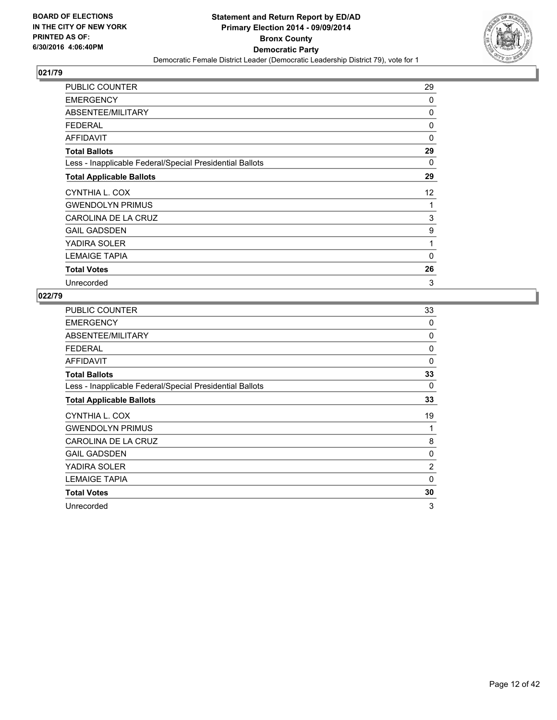

| <b>PUBLIC COUNTER</b>                                    | 29 |
|----------------------------------------------------------|----|
| <b>EMERGENCY</b>                                         | 0  |
| ABSENTEE/MILITARY                                        | 0  |
| <b>FEDERAL</b>                                           | 0  |
| <b>AFFIDAVIT</b>                                         | 0  |
| <b>Total Ballots</b>                                     | 29 |
| Less - Inapplicable Federal/Special Presidential Ballots | 0  |
| <b>Total Applicable Ballots</b>                          | 29 |
| CYNTHIA L. COX                                           | 12 |
| <b>GWENDOLYN PRIMUS</b>                                  | 1  |
| CAROLINA DE LA CRUZ                                      | 3  |
| <b>GAIL GADSDEN</b>                                      | 9  |
| YADIRA SOLER                                             | 1  |
| <b>LEMAIGE TAPIA</b>                                     | 0  |
| <b>Total Votes</b>                                       | 26 |
| Unrecorded                                               | 3  |

| PUBLIC COUNTER                                           | 33             |
|----------------------------------------------------------|----------------|
| <b>EMERGENCY</b>                                         | 0              |
| ABSENTEE/MILITARY                                        | 0              |
| <b>FEDERAL</b>                                           | 0              |
| <b>AFFIDAVIT</b>                                         | 0              |
| <b>Total Ballots</b>                                     | 33             |
| Less - Inapplicable Federal/Special Presidential Ballots | 0              |
| <b>Total Applicable Ballots</b>                          | 33             |
| CYNTHIA L. COX                                           | 19             |
| <b>GWENDOLYN PRIMUS</b>                                  | 1              |
| CAROLINA DE LA CRUZ                                      | 8              |
| <b>GAIL GADSDEN</b>                                      | 0              |
| YADIRA SOLER                                             | $\overline{2}$ |
| <b>LEMAIGE TAPIA</b>                                     | 0              |
| <b>Total Votes</b>                                       | 30             |
| Unrecorded                                               | 3              |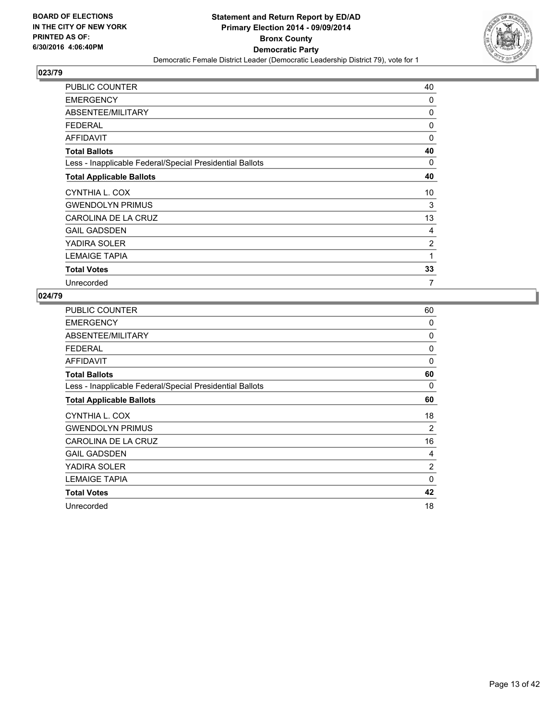

| <b>PUBLIC COUNTER</b>                                    | 40             |
|----------------------------------------------------------|----------------|
| <b>EMERGENCY</b>                                         | 0              |
| ABSENTEE/MILITARY                                        | 0              |
| <b>FEDERAL</b>                                           | 0              |
| <b>AFFIDAVIT</b>                                         | 0              |
| <b>Total Ballots</b>                                     | 40             |
| Less - Inapplicable Federal/Special Presidential Ballots | 0              |
| <b>Total Applicable Ballots</b>                          | 40             |
| CYNTHIA L. COX                                           | 10             |
| <b>GWENDOLYN PRIMUS</b>                                  | 3              |
| CAROLINA DE LA CRUZ                                      | 13             |
| <b>GAIL GADSDEN</b>                                      | 4              |
| YADIRA SOLER                                             | $\overline{2}$ |
| <b>LEMAIGE TAPIA</b>                                     | 1              |
| <b>Total Votes</b>                                       | 33             |
| Unrecorded                                               | 7              |

| PUBLIC COUNTER                                           | 60 |
|----------------------------------------------------------|----|
| <b>EMERGENCY</b>                                         | 0  |
| ABSENTEE/MILITARY                                        | 0  |
| <b>FEDERAL</b>                                           | 0  |
| <b>AFFIDAVIT</b>                                         | 0  |
| <b>Total Ballots</b>                                     | 60 |
| Less - Inapplicable Federal/Special Presidential Ballots | 0  |
| <b>Total Applicable Ballots</b>                          | 60 |
| CYNTHIA L. COX                                           | 18 |
| <b>GWENDOLYN PRIMUS</b>                                  | 2  |
| CAROLINA DE LA CRUZ                                      | 16 |
| <b>GAIL GADSDEN</b>                                      | 4  |
| YADIRA SOLER                                             | 2  |
| <b>LEMAIGE TAPIA</b>                                     | 0  |
| <b>Total Votes</b>                                       | 42 |
| Unrecorded                                               | 18 |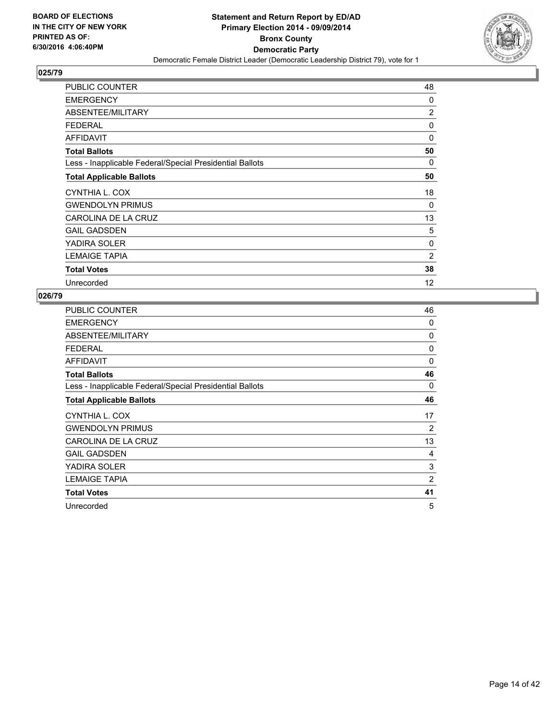

| <b>PUBLIC COUNTER</b>                                    | 48             |
|----------------------------------------------------------|----------------|
| <b>EMERGENCY</b>                                         | 0              |
| ABSENTEE/MILITARY                                        | 2              |
| <b>FEDERAL</b>                                           | 0              |
| <b>AFFIDAVIT</b>                                         | 0              |
| <b>Total Ballots</b>                                     | 50             |
| Less - Inapplicable Federal/Special Presidential Ballots | 0              |
| <b>Total Applicable Ballots</b>                          | 50             |
| CYNTHIA L. COX                                           | 18             |
| <b>GWENDOLYN PRIMUS</b>                                  | 0              |
| CAROLINA DE LA CRUZ                                      | 13             |
| <b>GAIL GADSDEN</b>                                      | 5              |
| YADIRA SOLER                                             | 0              |
| <b>LEMAIGE TAPIA</b>                                     | $\overline{2}$ |
| <b>Total Votes</b>                                       | 38             |
| Unrecorded                                               | 12             |

| <b>PUBLIC COUNTER</b>                                    | 46 |
|----------------------------------------------------------|----|
| <b>EMERGENCY</b>                                         | 0  |
| ABSENTEE/MILITARY                                        | 0  |
| <b>FEDERAL</b>                                           | 0  |
| <b>AFFIDAVIT</b>                                         | 0  |
| <b>Total Ballots</b>                                     | 46 |
| Less - Inapplicable Federal/Special Presidential Ballots | 0  |
| <b>Total Applicable Ballots</b>                          | 46 |
| CYNTHIA L. COX                                           | 17 |
|                                                          |    |
| <b>GWENDOLYN PRIMUS</b>                                  | 2  |
| CAROLINA DE LA CRUZ                                      | 13 |
| <b>GAIL GADSDEN</b>                                      | 4  |
| YADIRA SOLER                                             | 3  |
| <b>LEMAIGE TAPIA</b>                                     | 2  |
| <b>Total Votes</b>                                       | 41 |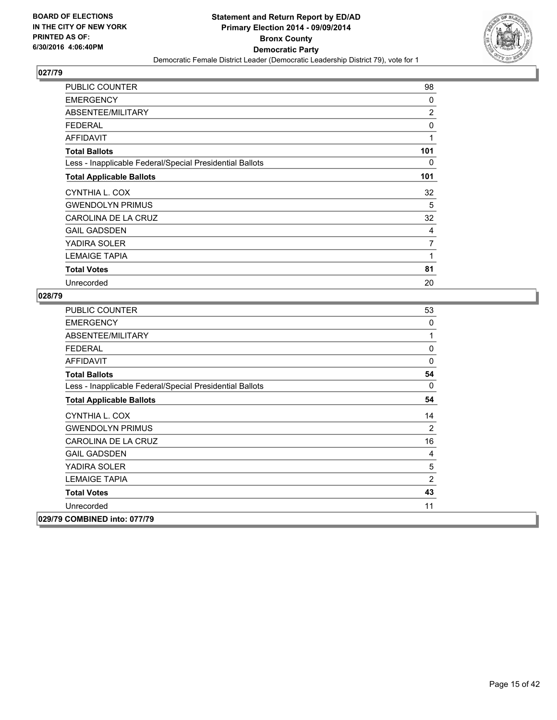

| <b>PUBLIC COUNTER</b>                                    | 98             |
|----------------------------------------------------------|----------------|
| <b>EMERGENCY</b>                                         | 0              |
| ABSENTEE/MILITARY                                        | $\overline{c}$ |
| <b>FEDERAL</b>                                           | 0              |
| <b>AFFIDAVIT</b>                                         | 1              |
| <b>Total Ballots</b>                                     | 101            |
| Less - Inapplicable Federal/Special Presidential Ballots | 0              |
| <b>Total Applicable Ballots</b>                          | 101            |
| CYNTHIA L. COX                                           | 32             |
| <b>GWENDOLYN PRIMUS</b>                                  | 5              |
| CAROLINA DE LA CRUZ                                      | 32             |
| <b>GAIL GADSDEN</b>                                      | 4              |
| YADIRA SOLER                                             | 7              |
| <b>LEMAIGE TAPIA</b>                                     | 1              |
| <b>Total Votes</b>                                       | 81             |
| Unrecorded                                               | 20             |

| <b>PUBLIC COUNTER</b>                                    | 53             |
|----------------------------------------------------------|----------------|
| <b>EMERGENCY</b>                                         | 0              |
| ABSENTEE/MILITARY                                        | 1              |
| <b>FEDERAL</b>                                           | 0              |
| <b>AFFIDAVIT</b>                                         | 0              |
| <b>Total Ballots</b>                                     | 54             |
| Less - Inapplicable Federal/Special Presidential Ballots | 0              |
| <b>Total Applicable Ballots</b>                          | 54             |
| CYNTHIA L. COX                                           | 14             |
| <b>GWENDOLYN PRIMUS</b>                                  | $\overline{2}$ |
| CAROLINA DE LA CRUZ                                      | 16             |
| <b>GAIL GADSDEN</b>                                      | 4              |
| YADIRA SOLER                                             | 5              |
| <b>LEMAIGE TAPIA</b>                                     | $\overline{2}$ |
| <b>Total Votes</b>                                       | 43             |
| Unrecorded                                               | 11             |
| 029/79 COMBINED into: 077/79                             |                |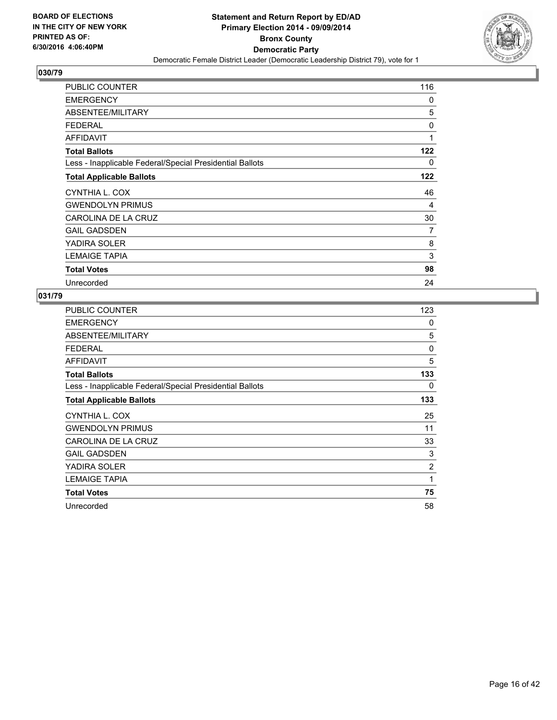

| <b>PUBLIC COUNTER</b>                                    | 116 |
|----------------------------------------------------------|-----|
| <b>EMERGENCY</b>                                         | 0   |
| ABSENTEE/MILITARY                                        | 5   |
| <b>FEDERAL</b>                                           | 0   |
| <b>AFFIDAVIT</b>                                         | 1   |
| <b>Total Ballots</b>                                     | 122 |
| Less - Inapplicable Federal/Special Presidential Ballots | 0   |
| <b>Total Applicable Ballots</b>                          | 122 |
| CYNTHIA L. COX                                           | 46  |
| <b>GWENDOLYN PRIMUS</b>                                  | 4   |
| CAROLINA DE LA CRUZ                                      | 30  |
| <b>GAIL GADSDEN</b>                                      | 7   |
| YADIRA SOLER                                             | 8   |
| <b>LEMAIGE TAPIA</b>                                     | 3   |
| <b>Total Votes</b>                                       | 98  |
| Unrecorded                                               | 24  |

| PUBLIC COUNTER                                           | 123 |
|----------------------------------------------------------|-----|
| <b>EMERGENCY</b>                                         | 0   |
| ABSENTEE/MILITARY                                        | 5   |
| <b>FEDERAL</b>                                           | 0   |
| <b>AFFIDAVIT</b>                                         | 5   |
| <b>Total Ballots</b>                                     | 133 |
| Less - Inapplicable Federal/Special Presidential Ballots | 0   |
| <b>Total Applicable Ballots</b>                          | 133 |
| CYNTHIA L. COX                                           | 25  |
| <b>GWENDOLYN PRIMUS</b>                                  | 11  |
| CAROLINA DE LA CRUZ                                      | 33  |
| <b>GAIL GADSDEN</b>                                      | 3   |
| YADIRA SOLER                                             | 2   |
| <b>LEMAIGE TAPIA</b>                                     | 1   |
| <b>Total Votes</b>                                       | 75  |
| Unrecorded                                               | 58  |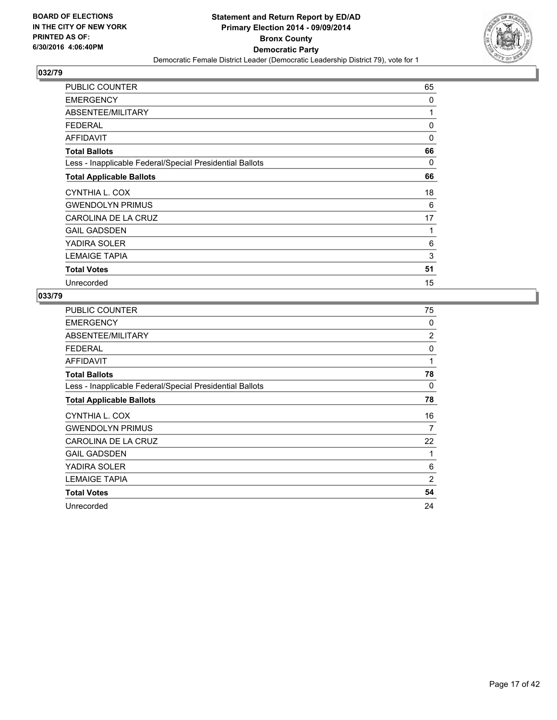

| <b>PUBLIC COUNTER</b>                                    | 65 |
|----------------------------------------------------------|----|
| <b>EMERGENCY</b>                                         | 0  |
| ABSENTEE/MILITARY                                        | 1  |
| <b>FEDERAL</b>                                           | 0  |
| <b>AFFIDAVIT</b>                                         | 0  |
| <b>Total Ballots</b>                                     | 66 |
| Less - Inapplicable Federal/Special Presidential Ballots | 0  |
| <b>Total Applicable Ballots</b>                          | 66 |
| CYNTHIA L. COX                                           | 18 |
| <b>GWENDOLYN PRIMUS</b>                                  | 6  |
| CAROLINA DE LA CRUZ                                      | 17 |
| <b>GAIL GADSDEN</b>                                      | 1  |
| YADIRA SOLER                                             | 6  |
| <b>LEMAIGE TAPIA</b>                                     | 3  |
| <b>Total Votes</b>                                       | 51 |
| Unrecorded                                               | 15 |

| PUBLIC COUNTER                                           | 75             |
|----------------------------------------------------------|----------------|
| <b>EMERGENCY</b>                                         | 0              |
| ABSENTEE/MILITARY                                        | $\overline{2}$ |
| <b>FEDERAL</b>                                           | 0              |
| <b>AFFIDAVIT</b>                                         | 1              |
| <b>Total Ballots</b>                                     | 78             |
| Less - Inapplicable Federal/Special Presidential Ballots | 0              |
| <b>Total Applicable Ballots</b>                          | 78             |
| CYNTHIA L. COX                                           | 16             |
| <b>GWENDOLYN PRIMUS</b>                                  | 7              |
|                                                          |                |
| CAROLINA DE LA CRUZ                                      | 22             |
| <b>GAIL GADSDEN</b>                                      | 1              |
| YADIRA SOLER                                             | 6              |
| <b>LEMAIGE TAPIA</b>                                     | 2              |
| <b>Total Votes</b>                                       | 54             |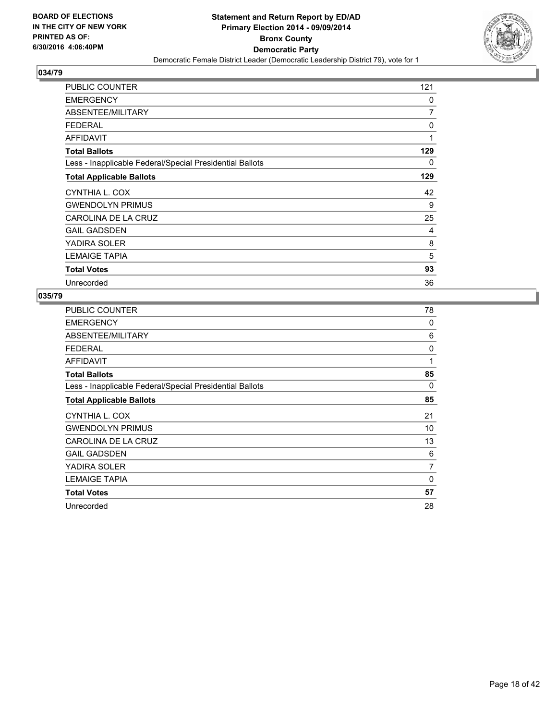

| <b>PUBLIC COUNTER</b>                                    | 121 |
|----------------------------------------------------------|-----|
| <b>EMERGENCY</b>                                         | 0   |
| ABSENTEE/MILITARY                                        | 7   |
| <b>FEDERAL</b>                                           | 0   |
| <b>AFFIDAVIT</b>                                         | 1   |
| <b>Total Ballots</b>                                     | 129 |
| Less - Inapplicable Federal/Special Presidential Ballots | 0   |
| <b>Total Applicable Ballots</b>                          | 129 |
| CYNTHIA L. COX                                           | 42  |
| <b>GWENDOLYN PRIMUS</b>                                  | 9   |
| CAROLINA DE LA CRUZ                                      | 25  |
| <b>GAIL GADSDEN</b>                                      | 4   |
| YADIRA SOLER                                             | 8   |
| <b>LEMAIGE TAPIA</b>                                     | 5   |
| <b>Total Votes</b>                                       | 93  |
| Unrecorded                                               | 36  |

| PUBLIC COUNTER                                           | 78 |
|----------------------------------------------------------|----|
| <b>EMERGENCY</b>                                         | 0  |
| ABSENTEE/MILITARY                                        | 6  |
| <b>FEDERAL</b>                                           | 0  |
| <b>AFFIDAVIT</b>                                         | 1  |
| <b>Total Ballots</b>                                     | 85 |
| Less - Inapplicable Federal/Special Presidential Ballots | 0  |
| <b>Total Applicable Ballots</b>                          | 85 |
| CYNTHIA L. COX                                           | 21 |
| <b>GWENDOLYN PRIMUS</b>                                  | 10 |
| CAROLINA DE LA CRUZ                                      | 13 |
| <b>GAIL GADSDEN</b>                                      | 6  |
| YADIRA SOLER                                             | 7  |
| <b>LEMAIGE TAPIA</b>                                     | 0  |
| <b>Total Votes</b>                                       | 57 |
| Unrecorded                                               | 28 |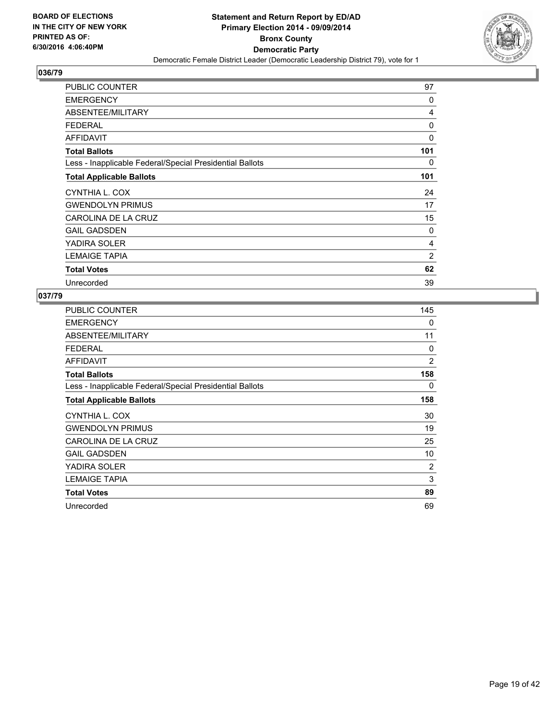

| <b>PUBLIC COUNTER</b>                                    | 97             |
|----------------------------------------------------------|----------------|
| <b>EMERGENCY</b>                                         | 0              |
| ABSENTEE/MILITARY                                        | 4              |
| <b>FEDERAL</b>                                           | 0              |
| <b>AFFIDAVIT</b>                                         | 0              |
| <b>Total Ballots</b>                                     | 101            |
| Less - Inapplicable Federal/Special Presidential Ballots | 0              |
| <b>Total Applicable Ballots</b>                          | 101            |
| CYNTHIA L. COX                                           | 24             |
| <b>GWENDOLYN PRIMUS</b>                                  | 17             |
| CAROLINA DE LA CRUZ                                      | 15             |
| <b>GAIL GADSDEN</b>                                      | 0              |
| YADIRA SOLER                                             | 4              |
| <b>LEMAIGE TAPIA</b>                                     | $\overline{2}$ |
| <b>Total Votes</b>                                       | 62             |
| Unrecorded                                               | 39             |

| PUBLIC COUNTER                                           | 145            |
|----------------------------------------------------------|----------------|
| <b>EMERGENCY</b>                                         | 0              |
| ABSENTEE/MILITARY                                        | 11             |
| <b>FEDERAL</b>                                           | 0              |
| <b>AFFIDAVIT</b>                                         | $\overline{2}$ |
| <b>Total Ballots</b>                                     | 158            |
| Less - Inapplicable Federal/Special Presidential Ballots | 0              |
| <b>Total Applicable Ballots</b>                          | 158            |
| CYNTHIA L. COX                                           | 30             |
| <b>GWENDOLYN PRIMUS</b>                                  | 19             |
| CAROLINA DE LA CRUZ                                      | 25             |
| <b>GAIL GADSDEN</b>                                      | 10             |
| YADIRA SOLER                                             | 2              |
| <b>LEMAIGE TAPIA</b>                                     | 3              |
| <b>Total Votes</b>                                       | 89             |
| Unrecorded                                               | 69             |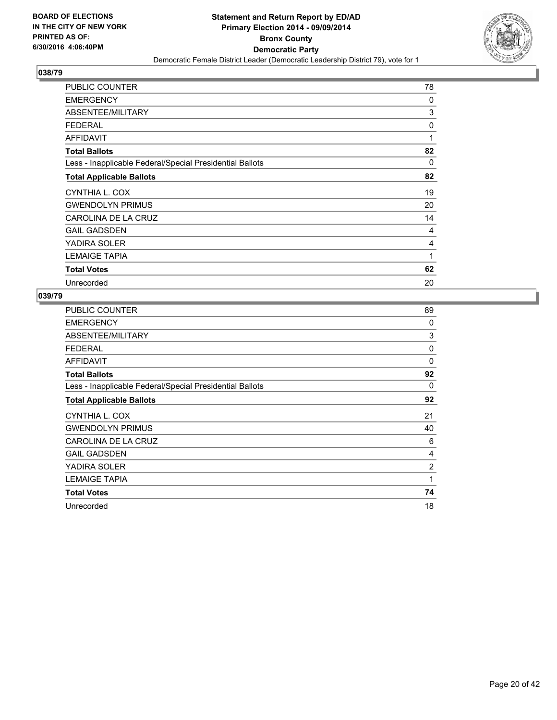

| <b>PUBLIC COUNTER</b>                                    | 78 |
|----------------------------------------------------------|----|
| <b>EMERGENCY</b>                                         | 0  |
| ABSENTEE/MILITARY                                        | 3  |
| <b>FEDERAL</b>                                           | 0  |
| <b>AFFIDAVIT</b>                                         | 1  |
| <b>Total Ballots</b>                                     | 82 |
| Less - Inapplicable Federal/Special Presidential Ballots | 0  |
| <b>Total Applicable Ballots</b>                          | 82 |
| CYNTHIA L. COX                                           | 19 |
| <b>GWENDOLYN PRIMUS</b>                                  | 20 |
| CAROLINA DE LA CRUZ                                      | 14 |
| <b>GAIL GADSDEN</b>                                      | 4  |
| YADIRA SOLER                                             | 4  |
| <b>LEMAIGE TAPIA</b>                                     | 1  |
| <b>Total Votes</b>                                       | 62 |
| Unrecorded                                               | 20 |

| PUBLIC COUNTER                                           | 89             |
|----------------------------------------------------------|----------------|
| <b>EMERGENCY</b>                                         | 0              |
| ABSENTEE/MILITARY                                        | 3              |
| <b>FEDERAL</b>                                           | 0              |
| <b>AFFIDAVIT</b>                                         | 0              |
| <b>Total Ballots</b>                                     | 92             |
| Less - Inapplicable Federal/Special Presidential Ballots | $\Omega$       |
| <b>Total Applicable Ballots</b>                          | 92             |
| CYNTHIA L. COX                                           | 21             |
| <b>GWENDOLYN PRIMUS</b>                                  | 40             |
| CAROLINA DE LA CRUZ                                      | 6              |
| <b>GAIL GADSDEN</b>                                      | 4              |
| YADIRA SOLER                                             | $\overline{2}$ |
| <b>LEMAIGE TAPIA</b>                                     | 1              |
| <b>Total Votes</b>                                       | 74             |
| Unrecorded                                               | 18             |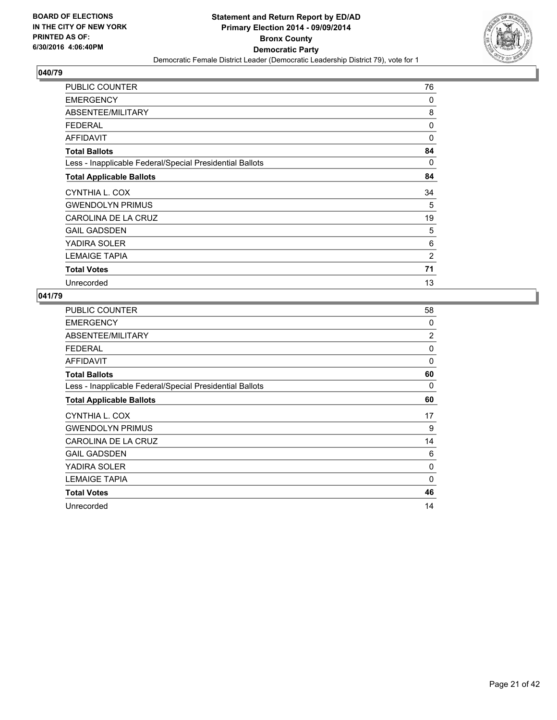

| <b>PUBLIC COUNTER</b>                                    | 76             |
|----------------------------------------------------------|----------------|
| <b>EMERGENCY</b>                                         | 0              |
| ABSENTEE/MILITARY                                        | 8              |
| <b>FEDERAL</b>                                           | 0              |
| <b>AFFIDAVIT</b>                                         | 0              |
| <b>Total Ballots</b>                                     | 84             |
| Less - Inapplicable Federal/Special Presidential Ballots | 0              |
| <b>Total Applicable Ballots</b>                          | 84             |
| CYNTHIA L. COX                                           | 34             |
| <b>GWENDOLYN PRIMUS</b>                                  | 5              |
| CAROLINA DE LA CRUZ                                      | 19             |
| <b>GAIL GADSDEN</b>                                      | 5              |
| YADIRA SOLER                                             | 6              |
| <b>LEMAIGE TAPIA</b>                                     | $\overline{2}$ |
| <b>Total Votes</b>                                       | 71             |
| Unrecorded                                               | 13             |

| PUBLIC COUNTER                                           | 58             |
|----------------------------------------------------------|----------------|
| <b>EMERGENCY</b>                                         | 0              |
| ABSENTEE/MILITARY                                        | $\overline{2}$ |
| <b>FEDERAL</b>                                           | 0              |
| <b>AFFIDAVIT</b>                                         | 0              |
| <b>Total Ballots</b>                                     | 60             |
| Less - Inapplicable Federal/Special Presidential Ballots | 0              |
| <b>Total Applicable Ballots</b>                          | 60             |
|                                                          |                |
| CYNTHIA L. COX                                           | 17             |
| <b>GWENDOLYN PRIMUS</b>                                  | 9              |
| CAROLINA DE LA CRUZ                                      | 14             |
| <b>GAIL GADSDEN</b>                                      | 6              |
| YADIRA SOLER                                             | 0              |
| <b>LEMAIGE TAPIA</b>                                     | $\Omega$       |
| <b>Total Votes</b>                                       | 46             |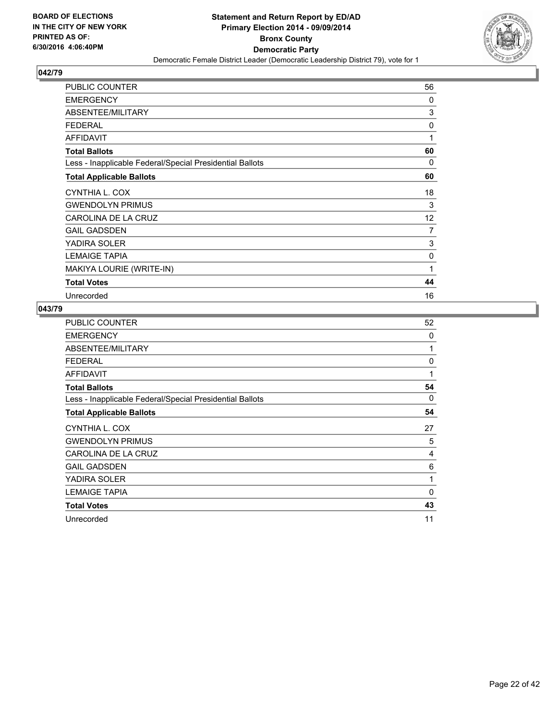

| <b>PUBLIC COUNTER</b>                                    | 56 |
|----------------------------------------------------------|----|
| <b>EMERGENCY</b>                                         | 0  |
| ABSENTEE/MILITARY                                        | 3  |
| <b>FEDERAL</b>                                           | 0  |
| <b>AFFIDAVIT</b>                                         | 1  |
| <b>Total Ballots</b>                                     | 60 |
| Less - Inapplicable Federal/Special Presidential Ballots | 0  |
| <b>Total Applicable Ballots</b>                          | 60 |
| CYNTHIA L. COX                                           | 18 |
| <b>GWENDOLYN PRIMUS</b>                                  | 3  |
| CAROLINA DE LA CRUZ                                      | 12 |
| <b>GAIL GADSDEN</b>                                      | 7  |
| YADIRA SOLER                                             | 3  |
| <b>LEMAIGE TAPIA</b>                                     | 0  |
| MAKIYA LOURIE (WRITE-IN)                                 | 1  |
| <b>Total Votes</b>                                       | 44 |
| Unrecorded                                               | 16 |

| PUBLIC COUNTER                                           | 52          |
|----------------------------------------------------------|-------------|
| <b>EMERGENCY</b>                                         | 0           |
| ABSENTEE/MILITARY                                        | 1           |
| <b>FEDERAL</b>                                           | $\mathbf 0$ |
| <b>AFFIDAVIT</b>                                         | 1           |
| <b>Total Ballots</b>                                     | 54          |
| Less - Inapplicable Federal/Special Presidential Ballots | 0           |
| <b>Total Applicable Ballots</b>                          | 54          |
|                                                          |             |
| CYNTHIA L. COX                                           | 27          |
| <b>GWENDOLYN PRIMUS</b>                                  | 5           |
| CAROLINA DE LA CRUZ                                      | 4           |
| <b>GAIL GADSDEN</b>                                      | 6           |
| YADIRA SOLER                                             | 1           |
| <b>LEMAIGE TAPIA</b>                                     | $\Omega$    |
| <b>Total Votes</b>                                       | 43          |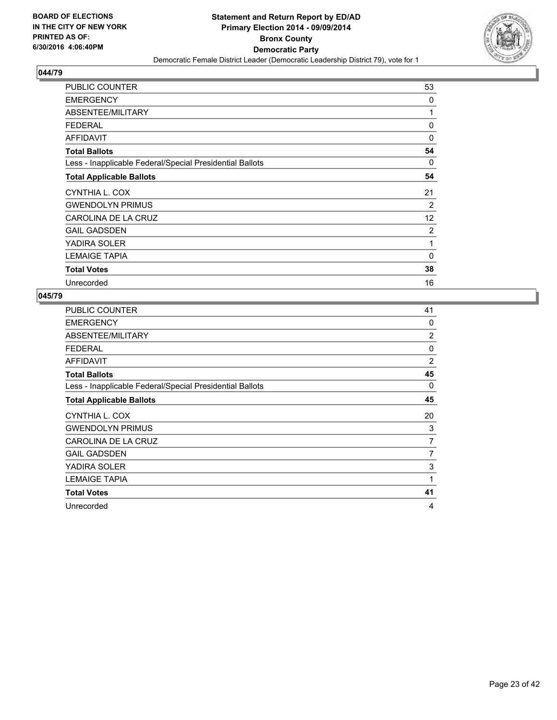

| <b>PUBLIC COUNTER</b>                                    | 53 |
|----------------------------------------------------------|----|
| <b>EMERGENCY</b>                                         | 0  |
| ABSENTEE/MILITARY                                        | 1  |
| <b>FEDERAL</b>                                           | 0  |
| <b>AFFIDAVIT</b>                                         | 0  |
| <b>Total Ballots</b>                                     | 54 |
| Less - Inapplicable Federal/Special Presidential Ballots | 0  |
| <b>Total Applicable Ballots</b>                          | 54 |
| CYNTHIA L. COX                                           | 21 |
| <b>GWENDOLYN PRIMUS</b>                                  | 2  |
| CAROLINA DE LA CRUZ                                      | 12 |
| <b>GAIL GADSDEN</b>                                      | 2  |
| YADIRA SOLER                                             | 1  |
| <b>LEMAIGE TAPIA</b>                                     | 0  |
| <b>Total Votes</b>                                       | 38 |
| Unrecorded                                               | 16 |

| PUBLIC COUNTER                                           | 41             |
|----------------------------------------------------------|----------------|
| <b>EMERGENCY</b>                                         | $\Omega$       |
| ABSENTEE/MILITARY                                        | 2              |
| <b>FEDERAL</b>                                           | 0              |
| <b>AFFIDAVIT</b>                                         | $\overline{2}$ |
| <b>Total Ballots</b>                                     | 45             |
| Less - Inapplicable Federal/Special Presidential Ballots | 0              |
| <b>Total Applicable Ballots</b>                          | 45             |
| CYNTHIA L. COX                                           | 20             |
| <b>GWENDOLYN PRIMUS</b>                                  | 3              |
| CAROLINA DE LA CRUZ                                      | 7              |
| <b>GAIL GADSDEN</b>                                      | 7              |
| YADIRA SOLER                                             | 3              |
| <b>LEMAIGE TAPIA</b>                                     | 1              |
| <b>Total Votes</b>                                       | 41             |
| Unrecorded                                               | 4              |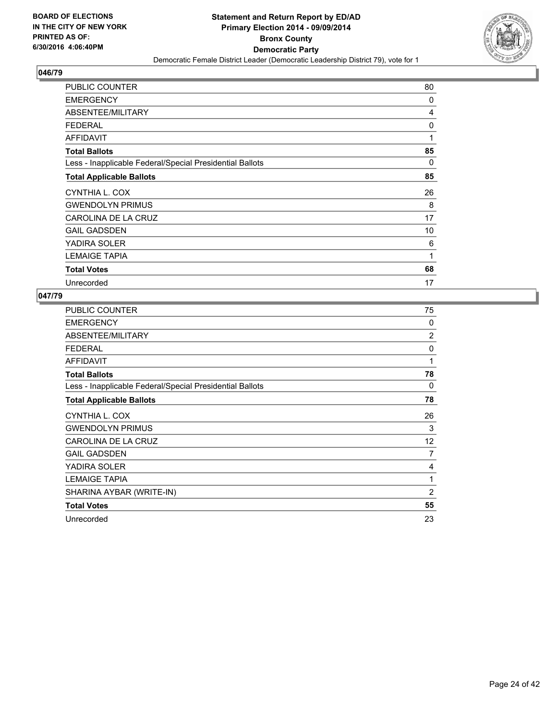

| <b>PUBLIC COUNTER</b>                                    | 80 |
|----------------------------------------------------------|----|
| <b>EMERGENCY</b>                                         | 0  |
| ABSENTEE/MILITARY                                        | 4  |
| <b>FEDERAL</b>                                           | 0  |
| <b>AFFIDAVIT</b>                                         | 1  |
| <b>Total Ballots</b>                                     | 85 |
| Less - Inapplicable Federal/Special Presidential Ballots | 0  |
| <b>Total Applicable Ballots</b>                          | 85 |
| CYNTHIA L. COX                                           | 26 |
| <b>GWENDOLYN PRIMUS</b>                                  | 8  |
| CAROLINA DE LA CRUZ                                      | 17 |
| <b>GAIL GADSDEN</b>                                      | 10 |
| YADIRA SOLER                                             | 6  |
| <b>LEMAIGE TAPIA</b>                                     | 1  |
| <b>Total Votes</b>                                       | 68 |
| Unrecorded                                               | 17 |

| <b>PUBLIC COUNTER</b>                                    | 75             |
|----------------------------------------------------------|----------------|
| <b>EMERGENCY</b>                                         | 0              |
| ABSENTEE/MILITARY                                        | $\overline{2}$ |
| <b>FEDERAL</b>                                           | 0              |
| <b>AFFIDAVIT</b>                                         | 1              |
| <b>Total Ballots</b>                                     | 78             |
| Less - Inapplicable Federal/Special Presidential Ballots | 0              |
| <b>Total Applicable Ballots</b>                          | 78             |
| CYNTHIA L. COX                                           | 26             |
| <b>GWENDOLYN PRIMUS</b>                                  | 3              |
| CAROLINA DE LA CRUZ                                      | 12             |
| <b>GAIL GADSDEN</b>                                      | $\overline{7}$ |
| YADIRA SOLER                                             | 4              |
| <b>LEMAIGE TAPIA</b>                                     | 1              |
| SHARINA AYBAR (WRITE-IN)                                 | 2              |
| <b>Total Votes</b>                                       | 55             |
| Unrecorded                                               | 23             |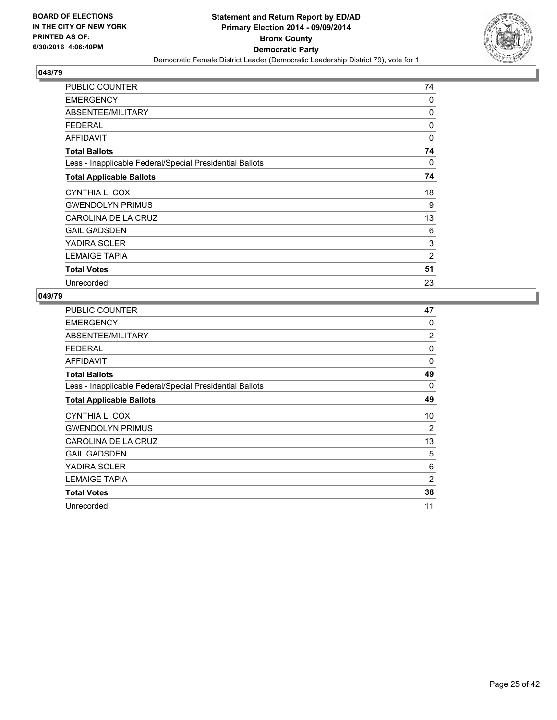

| <b>PUBLIC COUNTER</b>                                    | 74             |
|----------------------------------------------------------|----------------|
| <b>EMERGENCY</b>                                         | 0              |
| ABSENTEE/MILITARY                                        | 0              |
| <b>FEDERAL</b>                                           | 0              |
| <b>AFFIDAVIT</b>                                         | 0              |
| <b>Total Ballots</b>                                     | 74             |
| Less - Inapplicable Federal/Special Presidential Ballots | 0              |
| <b>Total Applicable Ballots</b>                          | 74             |
| CYNTHIA L. COX                                           | 18             |
| <b>GWENDOLYN PRIMUS</b>                                  | 9              |
| CAROLINA DE LA CRUZ                                      | 13             |
| <b>GAIL GADSDEN</b>                                      | 6              |
| YADIRA SOLER                                             | 3              |
| <b>LEMAIGE TAPIA</b>                                     | $\overline{2}$ |
| <b>Total Votes</b>                                       | 51             |
| Unrecorded                                               | 23             |

| PUBLIC COUNTER                                           | 47          |
|----------------------------------------------------------|-------------|
| <b>EMERGENCY</b>                                         | 0           |
| ABSENTEE/MILITARY                                        | 2           |
| <b>FEDERAL</b>                                           | 0           |
| <b>AFFIDAVIT</b>                                         | $\mathbf 0$ |
| <b>Total Ballots</b>                                     | 49          |
| Less - Inapplicable Federal/Special Presidential Ballots | 0           |
| <b>Total Applicable Ballots</b>                          | 49          |
| CYNTHIA L. COX                                           | 10          |
| <b>GWENDOLYN PRIMUS</b>                                  | 2           |
| CAROLINA DE LA CRUZ                                      | 13          |
| <b>GAIL GADSDEN</b>                                      | 5           |
| YADIRA SOLER                                             | 6           |
| <b>LEMAIGE TAPIA</b>                                     | 2           |
| <b>Total Votes</b>                                       | 38          |
| Unrecorded                                               | 11          |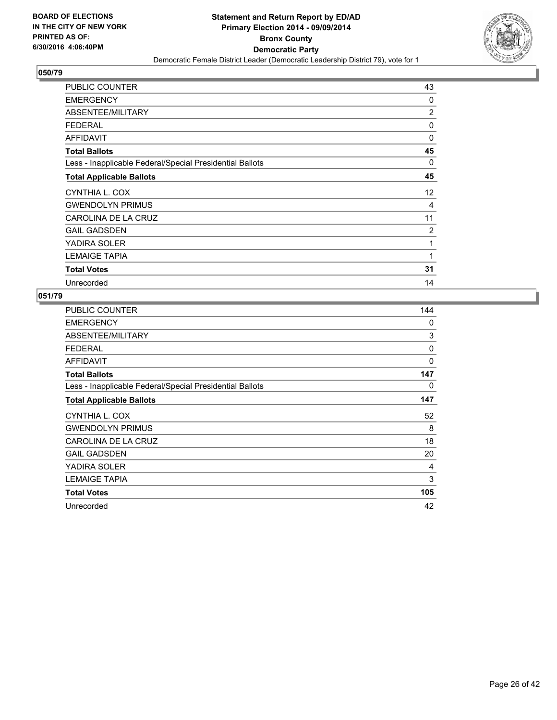

| <b>PUBLIC COUNTER</b>                                    | 43             |
|----------------------------------------------------------|----------------|
| <b>EMERGENCY</b>                                         | 0              |
| ABSENTEE/MILITARY                                        | $\overline{c}$ |
| <b>FEDERAL</b>                                           | 0              |
| <b>AFFIDAVIT</b>                                         | $\Omega$       |
| <b>Total Ballots</b>                                     | 45             |
| Less - Inapplicable Federal/Special Presidential Ballots | 0              |
| <b>Total Applicable Ballots</b>                          | 45             |
| CYNTHIA L. COX                                           | 12             |
| <b>GWENDOLYN PRIMUS</b>                                  | 4              |
| CAROLINA DE LA CRUZ                                      | 11             |
| <b>GAIL GADSDEN</b>                                      | 2              |
| YADIRA SOLER                                             | $\mathbf{1}$   |
| <b>LEMAIGE TAPIA</b>                                     | 1              |
| <b>Total Votes</b>                                       | 31             |
| Unrecorded                                               | 14             |

| <b>PUBLIC COUNTER</b>                                    | 144 |
|----------------------------------------------------------|-----|
| <b>EMERGENCY</b>                                         | 0   |
| ABSENTEE/MILITARY                                        | 3   |
| <b>FEDERAL</b>                                           | 0   |
| <b>AFFIDAVIT</b>                                         | 0   |
| <b>Total Ballots</b>                                     | 147 |
| Less - Inapplicable Federal/Special Presidential Ballots | 0   |
| <b>Total Applicable Ballots</b>                          | 147 |
| CYNTHIA L. COX                                           | 52  |
| <b>GWENDOLYN PRIMUS</b>                                  | 8   |
| CAROLINA DE LA CRUZ                                      | 18  |
| <b>GAIL GADSDEN</b>                                      | 20  |
| YADIRA SOLER                                             | 4   |
| <b>LEMAIGE TAPIA</b>                                     | 3   |
| <b>Total Votes</b>                                       |     |
|                                                          | 105 |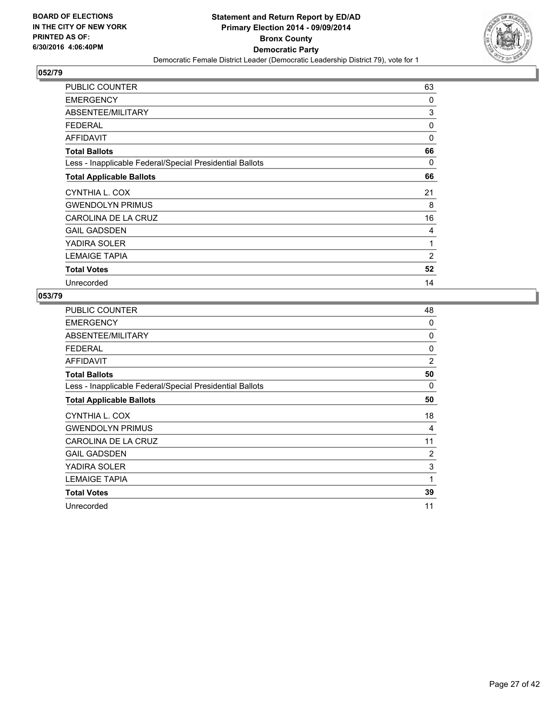

| <b>PUBLIC COUNTER</b>                                    | 63             |
|----------------------------------------------------------|----------------|
| <b>EMERGENCY</b>                                         | 0              |
| ABSENTEE/MILITARY                                        | 3              |
| <b>FEDERAL</b>                                           | 0              |
| <b>AFFIDAVIT</b>                                         | 0              |
| <b>Total Ballots</b>                                     | 66             |
| Less - Inapplicable Federal/Special Presidential Ballots | 0              |
| <b>Total Applicable Ballots</b>                          | 66             |
| CYNTHIA L. COX                                           | 21             |
| <b>GWENDOLYN PRIMUS</b>                                  | 8              |
| CAROLINA DE LA CRUZ                                      | 16             |
| <b>GAIL GADSDEN</b>                                      | 4              |
| YADIRA SOLER                                             | 1              |
| <b>LEMAIGE TAPIA</b>                                     | $\overline{2}$ |
| <b>Total Votes</b>                                       | 52             |
| Unrecorded                                               | 14             |

| PUBLIC COUNTER                                           | 48             |
|----------------------------------------------------------|----------------|
| <b>EMERGENCY</b>                                         | 0              |
| ABSENTEE/MILITARY                                        | 0              |
| <b>FEDERAL</b>                                           | 0              |
| <b>AFFIDAVIT</b>                                         | $\overline{2}$ |
| <b>Total Ballots</b>                                     | 50             |
| Less - Inapplicable Federal/Special Presidential Ballots | 0              |
| <b>Total Applicable Ballots</b>                          | 50             |
| CYNTHIA L. COX                                           | 18             |
| <b>GWENDOLYN PRIMUS</b>                                  | 4              |
| CAROLINA DE LA CRUZ                                      | 11             |
| <b>GAIL GADSDEN</b>                                      | 2              |
| YADIRA SOLER                                             | 3              |
| <b>LEMAIGE TAPIA</b>                                     | 1              |
| <b>Total Votes</b>                                       | 39             |
| Unrecorded                                               | 11             |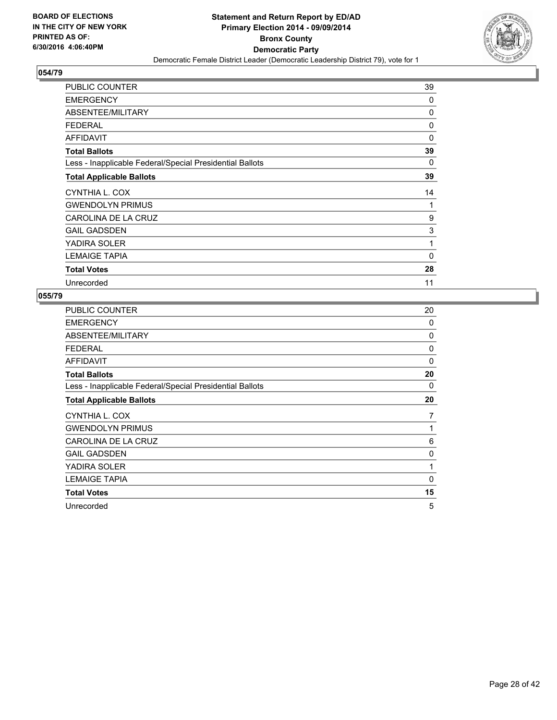

| <b>PUBLIC COUNTER</b>                                    | 39       |
|----------------------------------------------------------|----------|
| <b>EMERGENCY</b>                                         | 0        |
| ABSENTEE/MILITARY                                        | 0        |
| <b>FEDERAL</b>                                           | 0        |
| <b>AFFIDAVIT</b>                                         | $\Omega$ |
| <b>Total Ballots</b>                                     | 39       |
| Less - Inapplicable Federal/Special Presidential Ballots | 0        |
| <b>Total Applicable Ballots</b>                          | 39       |
| CYNTHIA L. COX                                           | 14       |
| <b>GWENDOLYN PRIMUS</b>                                  | 1        |
| CAROLINA DE LA CRUZ                                      | 9        |
| <b>GAIL GADSDEN</b>                                      | 3        |
| YADIRA SOLER                                             | 1        |
| <b>LEMAIGE TAPIA</b>                                     | 0        |
| <b>Total Votes</b>                                       | 28       |
| Unrecorded                                               | 11       |

| PUBLIC COUNTER                                           | 20           |
|----------------------------------------------------------|--------------|
| <b>EMERGENCY</b>                                         | 0            |
| ABSENTEE/MILITARY                                        | 0            |
| <b>FEDERAL</b>                                           | 0            |
| <b>AFFIDAVIT</b>                                         | 0            |
| <b>Total Ballots</b>                                     | 20           |
| Less - Inapplicable Federal/Special Presidential Ballots | 0            |
| <b>Total Applicable Ballots</b>                          | 20           |
|                                                          |              |
| CYNTHIA L. COX                                           | 7            |
| <b>GWENDOLYN PRIMUS</b>                                  | 1            |
| CAROLINA DE LA CRUZ                                      | 6            |
| <b>GAIL GADSDEN</b>                                      | 0            |
| YADIRA SOLER                                             | $\mathbf{1}$ |
| <b>LEMAIGE TAPIA</b>                                     | 0            |
| <b>Total Votes</b>                                       | 15           |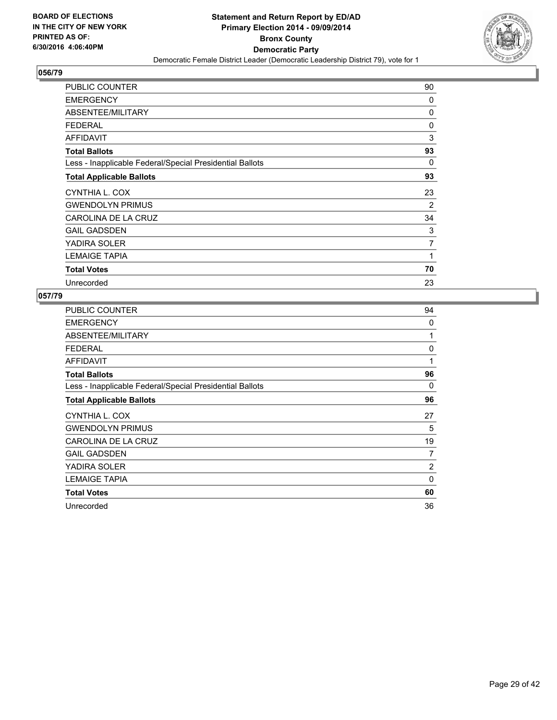

| <b>PUBLIC COUNTER</b>                                    | 90 |
|----------------------------------------------------------|----|
| <b>EMERGENCY</b>                                         | 0  |
| ABSENTEE/MILITARY                                        | 0  |
| <b>FEDERAL</b>                                           | 0  |
| <b>AFFIDAVIT</b>                                         | 3  |
| <b>Total Ballots</b>                                     | 93 |
| Less - Inapplicable Federal/Special Presidential Ballots | 0  |
| <b>Total Applicable Ballots</b>                          | 93 |
| CYNTHIA L. COX                                           | 23 |
| <b>GWENDOLYN PRIMUS</b>                                  | 2  |
| CAROLINA DE LA CRUZ                                      | 34 |
| <b>GAIL GADSDEN</b>                                      | 3  |
| YADIRA SOLER                                             | 7  |
| <b>LEMAIGE TAPIA</b>                                     | 1  |
| <b>Total Votes</b>                                       | 70 |
| Unrecorded                                               | 23 |

| PUBLIC COUNTER                                           | 94 |
|----------------------------------------------------------|----|
| <b>EMERGENCY</b>                                         | 0  |
| ABSENTEE/MILITARY                                        | 1  |
| <b>FEDERAL</b>                                           | 0  |
| <b>AFFIDAVIT</b>                                         | 1  |
| <b>Total Ballots</b>                                     | 96 |
| Less - Inapplicable Federal/Special Presidential Ballots | 0  |
| <b>Total Applicable Ballots</b>                          | 96 |
| CYNTHIA L. COX                                           | 27 |
| <b>GWENDOLYN PRIMUS</b>                                  | 5  |
| CAROLINA DE LA CRUZ                                      | 19 |
| <b>GAIL GADSDEN</b>                                      | 7  |
| YADIRA SOLER                                             | 2  |
| <b>LEMAIGE TAPIA</b>                                     | 0  |
| <b>Total Votes</b>                                       | 60 |
| Unrecorded                                               | 36 |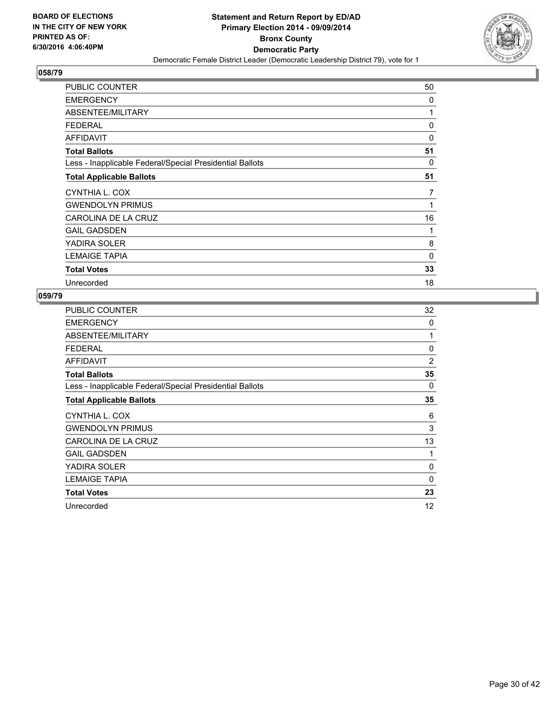

| <b>PUBLIC COUNTER</b>                                    | 50 |
|----------------------------------------------------------|----|
| <b>EMERGENCY</b>                                         | 0  |
| ABSENTEE/MILITARY                                        | 1  |
| <b>FEDERAL</b>                                           | 0  |
| <b>AFFIDAVIT</b>                                         | 0  |
| <b>Total Ballots</b>                                     | 51 |
| Less - Inapplicable Federal/Special Presidential Ballots | 0  |
| <b>Total Applicable Ballots</b>                          | 51 |
| CYNTHIA L. COX                                           | 7  |
| <b>GWENDOLYN PRIMUS</b>                                  | 1  |
| CAROLINA DE LA CRUZ                                      | 16 |
| <b>GAIL GADSDEN</b>                                      | 1  |
| YADIRA SOLER                                             | 8  |
| <b>LEMAIGE TAPIA</b>                                     | 0  |
| <b>Total Votes</b>                                       | 33 |
| Unrecorded                                               | 18 |

| PUBLIC COUNTER                                           | 32             |
|----------------------------------------------------------|----------------|
| <b>EMERGENCY</b>                                         | 0              |
| ABSENTEE/MILITARY                                        | 1              |
| <b>FEDERAL</b>                                           | 0              |
| <b>AFFIDAVIT</b>                                         | $\overline{2}$ |
| <b>Total Ballots</b>                                     | 35             |
| Less - Inapplicable Federal/Special Presidential Ballots | $\Omega$       |
| <b>Total Applicable Ballots</b>                          | 35             |
| CYNTHIA L. COX                                           | 6              |
| <b>GWENDOLYN PRIMUS</b>                                  | 3              |
|                                                          |                |
| CAROLINA DE LA CRUZ                                      | 13             |
| <b>GAIL GADSDEN</b>                                      | 1              |
| YADIRA SOLER                                             | 0              |
| <b>LEMAIGE TAPIA</b>                                     | 0              |
| <b>Total Votes</b>                                       | 23             |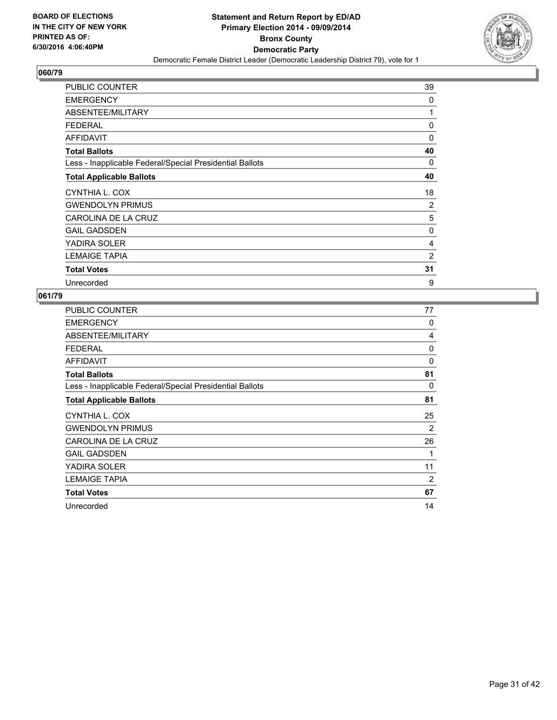

| <b>PUBLIC COUNTER</b>                                    | 39             |
|----------------------------------------------------------|----------------|
| <b>EMERGENCY</b>                                         | 0              |
| ABSENTEE/MILITARY                                        | 1              |
| <b>FEDERAL</b>                                           | 0              |
| <b>AFFIDAVIT</b>                                         | 0              |
| <b>Total Ballots</b>                                     | 40             |
| Less - Inapplicable Federal/Special Presidential Ballots | 0              |
| <b>Total Applicable Ballots</b>                          | 40             |
| CYNTHIA L. COX                                           | 18             |
| <b>GWENDOLYN PRIMUS</b>                                  | 2              |
| CAROLINA DE LA CRUZ                                      | 5              |
| <b>GAIL GADSDEN</b>                                      | 0              |
| YADIRA SOLER                                             | 4              |
| <b>LEMAIGE TAPIA</b>                                     | $\overline{2}$ |
| <b>Total Votes</b>                                       | 31             |
| Unrecorded                                               | 9              |

| PUBLIC COUNTER                                           | 77       |
|----------------------------------------------------------|----------|
| <b>EMERGENCY</b>                                         | 0        |
| ABSENTEE/MILITARY                                        | 4        |
| <b>FEDERAL</b>                                           | 0        |
| <b>AFFIDAVIT</b>                                         | 0        |
| <b>Total Ballots</b>                                     | 81       |
| Less - Inapplicable Federal/Special Presidential Ballots | $\Omega$ |
| <b>Total Applicable Ballots</b>                          | 81       |
| CYNTHIA L. COX                                           | 25       |
| <b>GWENDOLYN PRIMUS</b>                                  | 2        |
| CAROLINA DE LA CRUZ                                      | 26       |
| <b>GAIL GADSDEN</b>                                      | 1        |
| YADIRA SOLER                                             | 11       |
| <b>LEMAIGE TAPIA</b>                                     | 2        |
| <b>Total Votes</b>                                       | 67       |
| Unrecorded                                               | 14       |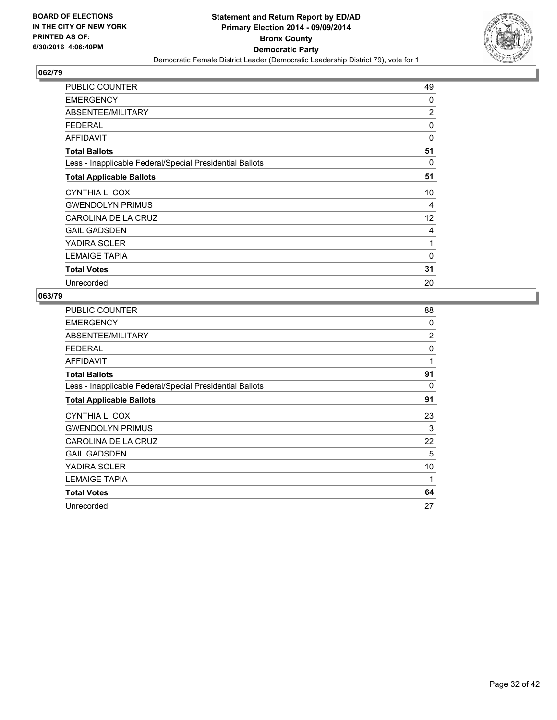

| <b>PUBLIC COUNTER</b>                                    | 49             |
|----------------------------------------------------------|----------------|
| <b>EMERGENCY</b>                                         | 0              |
| ABSENTEE/MILITARY                                        | $\overline{c}$ |
| <b>FEDERAL</b>                                           | 0              |
| <b>AFFIDAVIT</b>                                         | 0              |
| <b>Total Ballots</b>                                     | 51             |
| Less - Inapplicable Federal/Special Presidential Ballots | 0              |
| <b>Total Applicable Ballots</b>                          | 51             |
| CYNTHIA L. COX                                           | 10             |
| <b>GWENDOLYN PRIMUS</b>                                  | 4              |
| CAROLINA DE LA CRUZ                                      | 12             |
| <b>GAIL GADSDEN</b>                                      | 4              |
| YADIRA SOLER                                             | 1              |
| <b>LEMAIGE TAPIA</b>                                     | 0              |
| <b>Total Votes</b>                                       | 31             |
| Unrecorded                                               | 20             |

| PUBLIC COUNTER                                           | 88 |
|----------------------------------------------------------|----|
| <b>EMERGENCY</b>                                         | 0  |
| ABSENTEE/MILITARY                                        | 2  |
| <b>FEDERAL</b>                                           | 0  |
| <b>AFFIDAVIT</b>                                         | 1  |
| <b>Total Ballots</b>                                     | 91 |
| Less - Inapplicable Federal/Special Presidential Ballots | 0  |
| <b>Total Applicable Ballots</b>                          | 91 |
| CYNTHIA L. COX                                           | 23 |
| <b>GWENDOLYN PRIMUS</b>                                  | 3  |
| CAROLINA DE LA CRUZ                                      | 22 |
| <b>GAIL GADSDEN</b>                                      | 5  |
| YADIRA SOLER                                             | 10 |
| <b>LEMAIGE TAPIA</b>                                     | 1  |
| <b>Total Votes</b>                                       | 64 |
| Unrecorded                                               | 27 |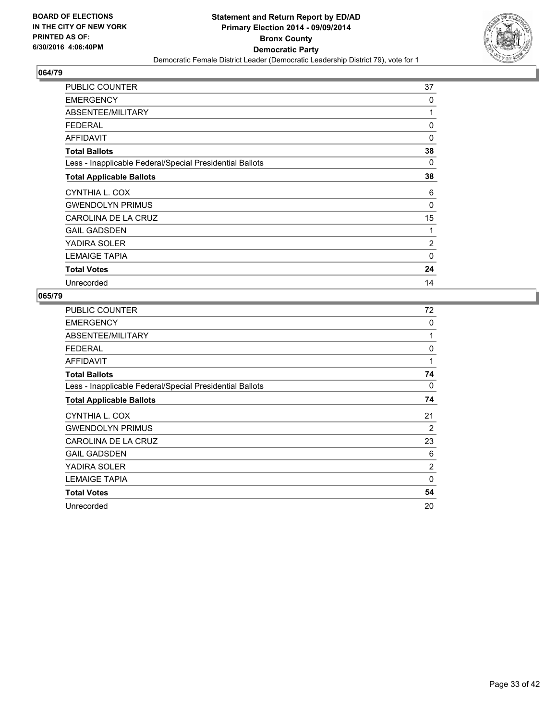

| <b>PUBLIC COUNTER</b>                                    | 37             |
|----------------------------------------------------------|----------------|
| <b>EMERGENCY</b>                                         | 0              |
| ABSENTEE/MILITARY                                        | 1              |
| <b>FEDERAL</b>                                           | 0              |
| <b>AFFIDAVIT</b>                                         | $\Omega$       |
| <b>Total Ballots</b>                                     | 38             |
| Less - Inapplicable Federal/Special Presidential Ballots | 0              |
| <b>Total Applicable Ballots</b>                          | 38             |
| CYNTHIA L. COX                                           | 6              |
| <b>GWENDOLYN PRIMUS</b>                                  | $\Omega$       |
| CAROLINA DE LA CRUZ                                      | 15             |
| <b>GAIL GADSDEN</b>                                      | 1              |
| YADIRA SOLER                                             | $\overline{2}$ |
| <b>LEMAIGE TAPIA</b>                                     | 0              |
| <b>Total Votes</b>                                       | 24             |
| Unrecorded                                               | 14             |

| <b>PUBLIC COUNTER</b>                                    | 72             |
|----------------------------------------------------------|----------------|
| <b>EMERGENCY</b>                                         | 0              |
| ABSENTEE/MILITARY                                        | 1              |
| <b>FEDERAL</b>                                           | 0              |
| <b>AFFIDAVIT</b>                                         | 1              |
| <b>Total Ballots</b>                                     | 74             |
| Less - Inapplicable Federal/Special Presidential Ballots | 0              |
| <b>Total Applicable Ballots</b>                          | 74             |
| CYNTHIA L. COX                                           | 21             |
| <b>GWENDOLYN PRIMUS</b>                                  | 2              |
| CAROLINA DE LA CRUZ                                      | 23             |
| <b>GAIL GADSDEN</b>                                      | 6              |
| YADIRA SOLER                                             | $\overline{2}$ |
| <b>LEMAIGE TAPIA</b>                                     | 0              |
| <b>Total Votes</b>                                       | 54             |
|                                                          |                |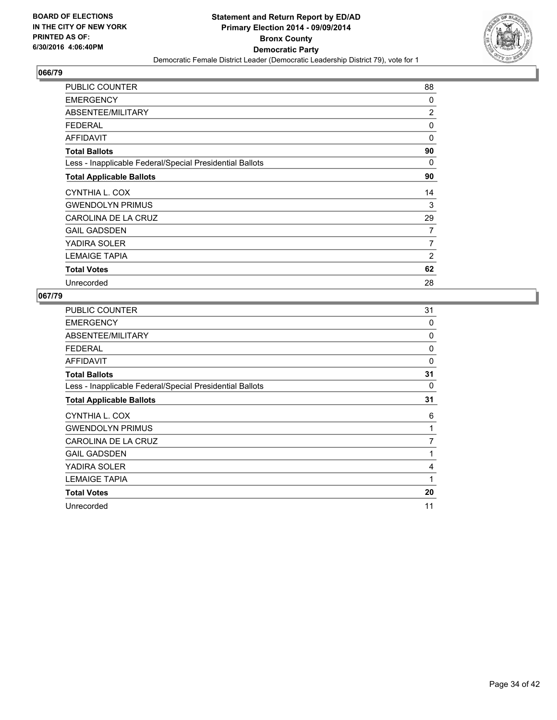

| <b>PUBLIC COUNTER</b>                                    | 88             |
|----------------------------------------------------------|----------------|
| <b>EMERGENCY</b>                                         | 0              |
| ABSENTEE/MILITARY                                        | $\overline{2}$ |
| <b>FEDERAL</b>                                           | 0              |
| <b>AFFIDAVIT</b>                                         | 0              |
| <b>Total Ballots</b>                                     | 90             |
| Less - Inapplicable Federal/Special Presidential Ballots | 0              |
| <b>Total Applicable Ballots</b>                          | 90             |
| CYNTHIA L. COX                                           | 14             |
| <b>GWENDOLYN PRIMUS</b>                                  | 3              |
| CAROLINA DE LA CRUZ                                      | 29             |
| <b>GAIL GADSDEN</b>                                      | 7              |
| YADIRA SOLER                                             | 7              |
| <b>LEMAIGE TAPIA</b>                                     | $\overline{2}$ |
| <b>Total Votes</b>                                       | 62             |
| Unrecorded                                               | 28             |

| <b>PUBLIC COUNTER</b>                                    | 31             |
|----------------------------------------------------------|----------------|
| <b>EMERGENCY</b>                                         | 0              |
| ABSENTEE/MILITARY                                        | 0              |
| <b>FEDERAL</b>                                           | 0              |
| <b>AFFIDAVIT</b>                                         | 0              |
| <b>Total Ballots</b>                                     | 31             |
| Less - Inapplicable Federal/Special Presidential Ballots | 0              |
| <b>Total Applicable Ballots</b>                          | 31             |
| CYNTHIA L. COX                                           | 6              |
| <b>GWENDOLYN PRIMUS</b>                                  | 1              |
| CAROLINA DE LA CRUZ                                      | $\overline{7}$ |
|                                                          |                |
| <b>GAIL GADSDEN</b>                                      | 1              |
| YADIRA SOLER                                             | 4              |
| <b>LEMAIGE TAPIA</b>                                     | 1              |
| <b>Total Votes</b>                                       | 20             |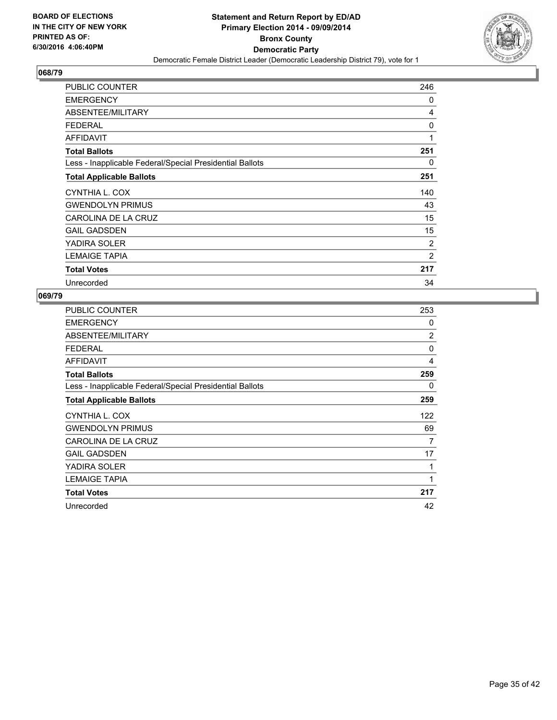

| <b>PUBLIC COUNTER</b>                                    | 246            |
|----------------------------------------------------------|----------------|
| <b>EMERGENCY</b>                                         | 0              |
| ABSENTEE/MILITARY                                        | 4              |
| <b>FEDERAL</b>                                           | 0              |
| <b>AFFIDAVIT</b>                                         | 1              |
| <b>Total Ballots</b>                                     | 251            |
| Less - Inapplicable Federal/Special Presidential Ballots | 0              |
| <b>Total Applicable Ballots</b>                          | 251            |
| CYNTHIA L. COX                                           | 140            |
| <b>GWENDOLYN PRIMUS</b>                                  | 43             |
| CAROLINA DE LA CRUZ                                      | 15             |
| <b>GAIL GADSDEN</b>                                      | 15             |
| YADIRA SOLER                                             | 2              |
| <b>LEMAIGE TAPIA</b>                                     | $\overline{2}$ |
| <b>Total Votes</b>                                       | 217            |
| Unrecorded                                               | 34             |

| PUBLIC COUNTER                                           | 253 |
|----------------------------------------------------------|-----|
| <b>EMERGENCY</b>                                         | 0   |
| ABSENTEE/MILITARY                                        | 2   |
| <b>FEDERAL</b>                                           | 0   |
| <b>AFFIDAVIT</b>                                         | 4   |
| <b>Total Ballots</b>                                     | 259 |
| Less - Inapplicable Federal/Special Presidential Ballots | 0   |
| <b>Total Applicable Ballots</b>                          | 259 |
| CYNTHIA L. COX                                           | 122 |
| <b>GWENDOLYN PRIMUS</b>                                  | 69  |
| CAROLINA DE LA CRUZ                                      | 7   |
| <b>GAIL GADSDEN</b>                                      | 17  |
| YADIRA SOLER                                             | 1   |
| <b>LEMAIGE TAPIA</b>                                     | 1   |
| <b>Total Votes</b>                                       | 217 |
| Unrecorded                                               | 42  |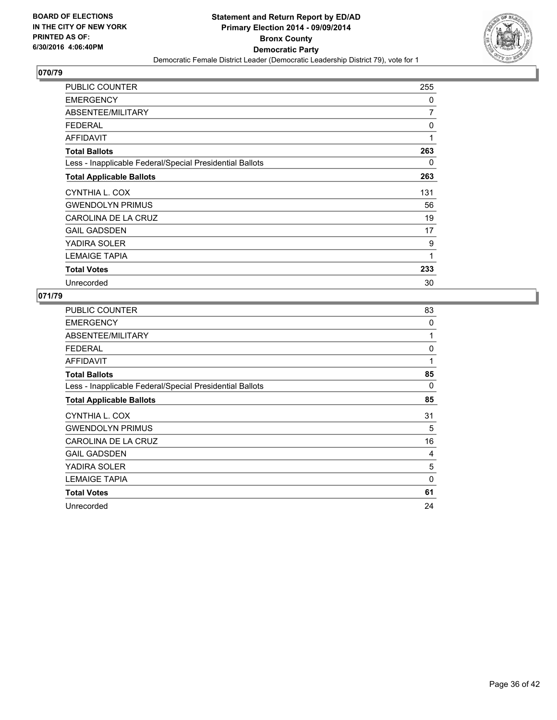

| <b>PUBLIC COUNTER</b>                                    | 255 |
|----------------------------------------------------------|-----|
| <b>EMERGENCY</b>                                         | 0   |
| ABSENTEE/MILITARY                                        | 7   |
| <b>FEDERAL</b>                                           | 0   |
| <b>AFFIDAVIT</b>                                         | 1   |
| <b>Total Ballots</b>                                     | 263 |
| Less - Inapplicable Federal/Special Presidential Ballots | 0   |
| <b>Total Applicable Ballots</b>                          | 263 |
| CYNTHIA L. COX                                           | 131 |
| <b>GWENDOLYN PRIMUS</b>                                  | 56  |
| CAROLINA DE LA CRUZ                                      | 19  |
| <b>GAIL GADSDEN</b>                                      | 17  |
| YADIRA SOLER                                             | 9   |
| <b>LEMAIGE TAPIA</b>                                     | 1   |
| <b>Total Votes</b>                                       | 233 |
| Unrecorded                                               | 30  |

| PUBLIC COUNTER                                           | 83 |
|----------------------------------------------------------|----|
| <b>EMERGENCY</b>                                         | 0  |
| ABSENTEE/MILITARY                                        | 1  |
| <b>FEDERAL</b>                                           | 0  |
| <b>AFFIDAVIT</b>                                         | 1  |
| <b>Total Ballots</b>                                     | 85 |
| Less - Inapplicable Federal/Special Presidential Ballots | 0  |
| <b>Total Applicable Ballots</b>                          | 85 |
| CYNTHIA L. COX                                           | 31 |
| <b>GWENDOLYN PRIMUS</b>                                  | 5  |
| CAROLINA DE LA CRUZ                                      | 16 |
| <b>GAIL GADSDEN</b>                                      | 4  |
| YADIRA SOLER                                             | 5  |
| <b>LEMAIGE TAPIA</b>                                     | 0  |
| <b>Total Votes</b>                                       | 61 |
| Unrecorded                                               | 24 |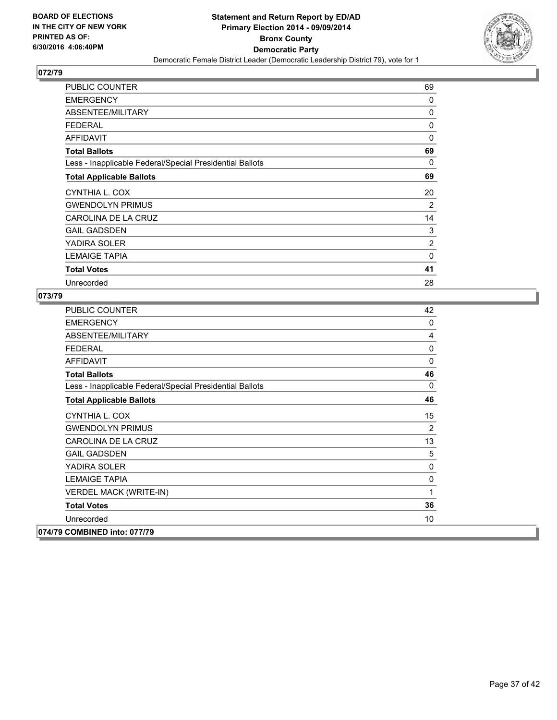

| <b>PUBLIC COUNTER</b>                                    | 69 |
|----------------------------------------------------------|----|
| <b>EMERGENCY</b>                                         | 0  |
| ABSENTEE/MILITARY                                        | 0  |
| <b>FEDERAL</b>                                           | 0  |
| <b>AFFIDAVIT</b>                                         | 0  |
| <b>Total Ballots</b>                                     | 69 |
| Less - Inapplicable Federal/Special Presidential Ballots | 0  |
| <b>Total Applicable Ballots</b>                          | 69 |
| CYNTHIA L. COX                                           | 20 |
| <b>GWENDOLYN PRIMUS</b>                                  | 2  |
| CAROLINA DE LA CRUZ                                      | 14 |
| <b>GAIL GADSDEN</b>                                      | 3  |
| YADIRA SOLER                                             | 2  |
| <b>LEMAIGE TAPIA</b>                                     | 0  |
| <b>Total Votes</b>                                       | 41 |
| Unrecorded                                               | 28 |

| <b>PUBLIC COUNTER</b>                                    | 42             |
|----------------------------------------------------------|----------------|
| <b>EMERGENCY</b>                                         | 0              |
| ABSENTEE/MILITARY                                        | 4              |
| <b>FEDERAL</b>                                           | $\mathbf 0$    |
| <b>AFFIDAVIT</b>                                         | 0              |
| <b>Total Ballots</b>                                     | 46             |
| Less - Inapplicable Federal/Special Presidential Ballots | 0              |
| <b>Total Applicable Ballots</b>                          | 46             |
| CYNTHIA L. COX                                           | 15             |
| <b>GWENDOLYN PRIMUS</b>                                  | $\overline{2}$ |
| CAROLINA DE LA CRUZ                                      | 13             |
| <b>GAIL GADSDEN</b>                                      | 5              |
| YADIRA SOLER                                             | 0              |
| <b>LEMAIGE TAPIA</b>                                     | 0              |
| <b>VERDEL MACK (WRITE-IN)</b>                            | 1              |
| <b>Total Votes</b>                                       | 36             |
| Unrecorded                                               | 10             |
| 074/79 COMBINED into: 077/79                             |                |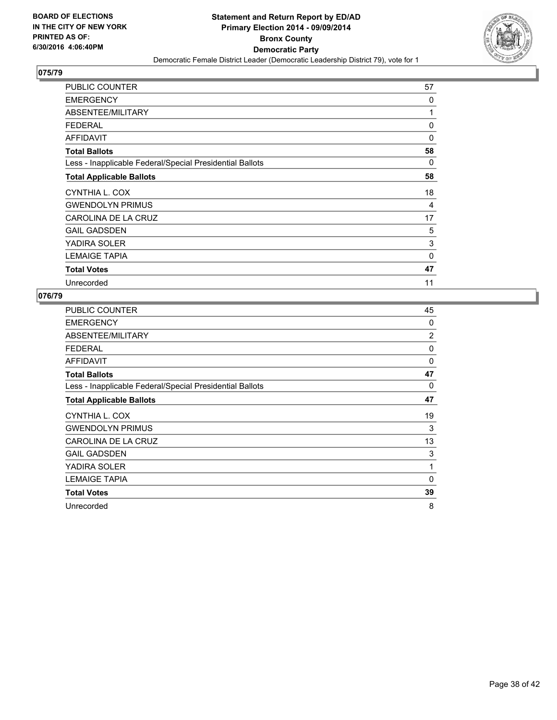

| <b>PUBLIC COUNTER</b>                                    | 57       |
|----------------------------------------------------------|----------|
| <b>EMERGENCY</b>                                         | 0        |
| ABSENTEE/MILITARY                                        | 1        |
| <b>FEDERAL</b>                                           | 0        |
| <b>AFFIDAVIT</b>                                         | $\Omega$ |
| <b>Total Ballots</b>                                     | 58       |
| Less - Inapplicable Federal/Special Presidential Ballots | 0        |
| <b>Total Applicable Ballots</b>                          | 58       |
| CYNTHIA L. COX                                           | 18       |
| <b>GWENDOLYN PRIMUS</b>                                  | 4        |
| CAROLINA DE LA CRUZ                                      | 17       |
| <b>GAIL GADSDEN</b>                                      | 5        |
| YADIRA SOLER                                             | 3        |
| <b>LEMAIGE TAPIA</b>                                     | 0        |
| <b>Total Votes</b>                                       | 47       |
| Unrecorded                                               | 11       |

| PUBLIC COUNTER                                           | 45          |
|----------------------------------------------------------|-------------|
| <b>EMERGENCY</b>                                         | 0           |
| ABSENTEE/MILITARY                                        | 2           |
| <b>FEDERAL</b>                                           | 0           |
| <b>AFFIDAVIT</b>                                         | $\mathbf 0$ |
| <b>Total Ballots</b>                                     | 47          |
| Less - Inapplicable Federal/Special Presidential Ballots | 0           |
| <b>Total Applicable Ballots</b>                          | 47          |
| CYNTHIA L. COX                                           | 19          |
| <b>GWENDOLYN PRIMUS</b>                                  | 3           |
| CAROLINA DE LA CRUZ                                      | 13          |
| <b>GAIL GADSDEN</b>                                      | 3           |
| YADIRA SOLER                                             | 1           |
| <b>LEMAIGE TAPIA</b>                                     | 0           |
| <b>Total Votes</b>                                       | 39          |
| Unrecorded                                               | 8           |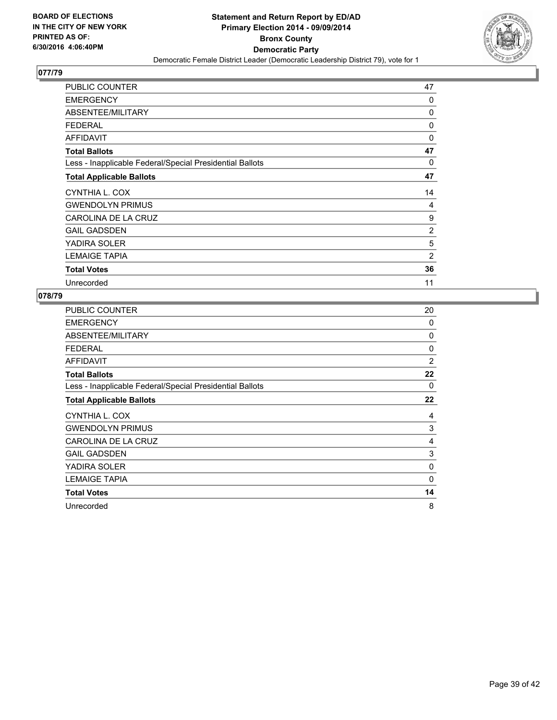

| <b>PUBLIC COUNTER</b>                                    | 47             |
|----------------------------------------------------------|----------------|
| <b>EMERGENCY</b>                                         | 0              |
| ABSENTEE/MILITARY                                        | 0              |
| <b>FEDERAL</b>                                           | 0              |
| <b>AFFIDAVIT</b>                                         | 0              |
| <b>Total Ballots</b>                                     | 47             |
| Less - Inapplicable Federal/Special Presidential Ballots | 0              |
| <b>Total Applicable Ballots</b>                          | 47             |
| CYNTHIA L. COX                                           | 14             |
| <b>GWENDOLYN PRIMUS</b>                                  | 4              |
| CAROLINA DE LA CRUZ                                      | 9              |
| <b>GAIL GADSDEN</b>                                      | $\overline{2}$ |
| YADIRA SOLER                                             | 5              |
| <b>LEMAIGE TAPIA</b>                                     | $\overline{2}$ |
| <b>Total Votes</b>                                       | 36             |
| Unrecorded                                               | 11             |

| PUBLIC COUNTER                                           | 20             |
|----------------------------------------------------------|----------------|
| <b>EMERGENCY</b>                                         | 0              |
| ABSENTEE/MILITARY                                        | 0              |
| <b>FEDERAL</b>                                           | 0              |
| <b>AFFIDAVIT</b>                                         | $\overline{2}$ |
| <b>Total Ballots</b>                                     | 22             |
| Less - Inapplicable Federal/Special Presidential Ballots | 0              |
| <b>Total Applicable Ballots</b>                          | 22             |
| CYNTHIA L. COX                                           | 4              |
| <b>GWENDOLYN PRIMUS</b>                                  | 3              |
| CAROLINA DE LA CRUZ                                      | 4              |
| <b>GAIL GADSDEN</b>                                      | 3              |
| YADIRA SOLER                                             | 0              |
| <b>LEMAIGE TAPIA</b>                                     | 0              |
| <b>Total Votes</b>                                       | 14             |
| Unrecorded                                               | 8              |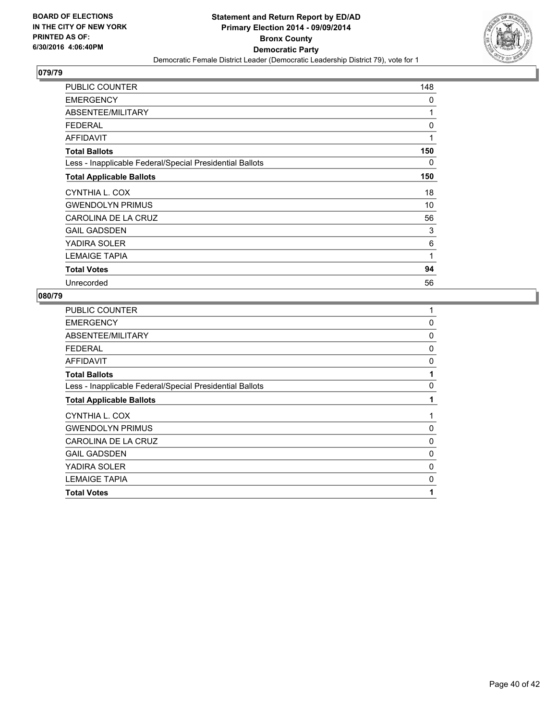

| <b>PUBLIC COUNTER</b>                                    | 148 |
|----------------------------------------------------------|-----|
| <b>EMERGENCY</b>                                         | 0   |
| ABSENTEE/MILITARY                                        | 1   |
| <b>FEDERAL</b>                                           | 0   |
| <b>AFFIDAVIT</b>                                         | 1   |
| <b>Total Ballots</b>                                     | 150 |
| Less - Inapplicable Federal/Special Presidential Ballots | 0   |
| <b>Total Applicable Ballots</b>                          | 150 |
| CYNTHIA L. COX                                           | 18  |
| <b>GWENDOLYN PRIMUS</b>                                  | 10  |
| CAROLINA DE LA CRUZ                                      | 56  |
| <b>GAIL GADSDEN</b>                                      | 3   |
| YADIRA SOLER                                             | 6   |
| <b>LEMAIGE TAPIA</b>                                     | 1   |
| <b>Total Votes</b>                                       | 94  |
| Unrecorded                                               | 56  |

| 1            |
|--------------|
| 0            |
| 0            |
| 0            |
| 0            |
|              |
| 0            |
| 1            |
| $\mathbf{1}$ |
| 0            |
| 0            |
| 0            |
| 0            |
| 0            |
| 1            |
|              |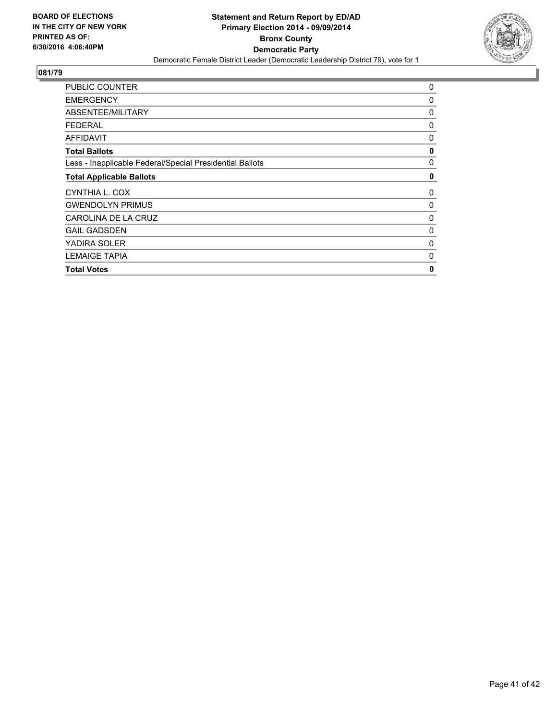

| <b>PUBLIC COUNTER</b>                                    | 0           |
|----------------------------------------------------------|-------------|
| <b>EMERGENCY</b>                                         | $\Omega$    |
| <b>ABSENTEE/MILITARY</b>                                 | 0           |
| <b>FEDERAL</b>                                           | 0           |
| <b>AFFIDAVIT</b>                                         | 0           |
| <b>Total Ballots</b>                                     | $\mathbf 0$ |
| Less - Inapplicable Federal/Special Presidential Ballots | 0           |
| <b>Total Applicable Ballots</b>                          | 0           |
| CYNTHIA L. COX                                           | 0           |
| <b>GWENDOLYN PRIMUS</b>                                  | 0           |
| CAROLINA DE LA CRUZ                                      | 0           |
| <b>GAIL GADSDEN</b>                                      | 0           |
| YADIRA SOLER                                             | 0           |
| <b>LEMAIGE TAPIA</b>                                     | 0           |
| <b>Total Votes</b>                                       | 0           |